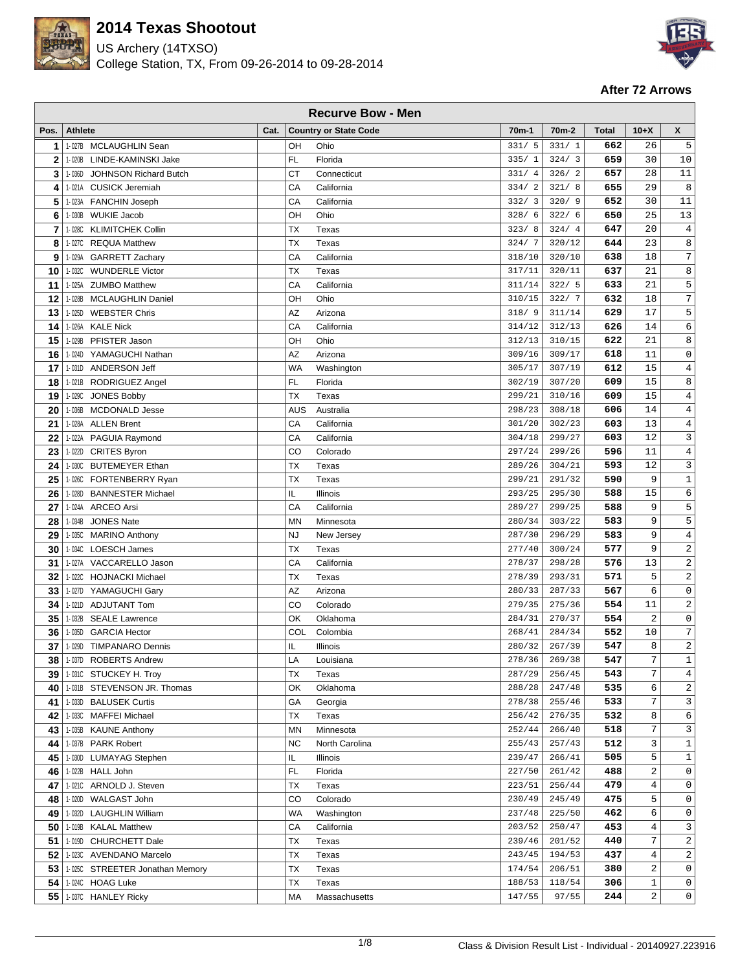

US Archery (14TXSO) College Station, TX, From 09-26-2014 to 09-28-2014



| X<br>$10+X$<br><b>Athlete</b><br>Cat.<br><b>Country or State Code</b><br>70 <sub>m</sub> -1<br>70 <sub>m</sub> -2<br><b>Total</b><br>Pos.<br>662<br>26<br>1-027B MCLAUGHLIN Sean<br>OH<br>Ohio<br>331/5<br>331/1<br>5<br>1<br>324/3<br>659<br>30<br>10<br>$\mathbf{2}$<br>LINDE-KAMINSKI Jake<br>FL.<br>Florida<br>335/1<br>1-020B<br>28<br>11<br>326/2<br>657<br>3<br><b>CT</b><br>331/4<br>1-036D<br><b>JOHNSON Richard Butch</b><br>Connecticut<br>29<br>8<br>655<br>1-021A CUSICK Jeremiah<br>CA<br>321/8<br>4<br>California<br>334/2<br>5<br>CA<br>California<br>652<br>30<br>11<br>1-023A<br><b>FANCHIN Joseph</b><br>332/3<br>320/9<br>322/6<br>25<br>13<br><b>WUKIE Jacob</b><br>OH<br>Ohio<br>328/6<br>650<br>6<br>1-030B<br>324/4<br>647<br>20<br>$\overline{4}$<br>7<br><b>TX</b><br>323/8<br>1-028C<br><b>KLIMITCHEK Collin</b><br>Texas<br>23<br>8<br>8<br><b>TX</b><br>320/12<br>644<br>1-027C<br><b>REQUA Matthew</b><br>324/7<br>Texas<br>CA<br>18<br>7<br>9<br>1-029A<br><b>GARRETT Zachary</b><br>California<br>318/10<br>320/10<br>638<br>8<br>320/11<br>637<br>21<br><b>TX</b><br>317/11<br>10<br>1-032C<br><b>WUNDERLE Victor</b><br>Texas<br>5<br>322/5<br>633<br>21<br>11<br>CA<br>California<br>311/14<br>1-025A<br><b>ZUMBO Matthew</b><br>$\overline{7}$<br>12<br>632<br>18<br>OH<br>Ohio<br>322/7<br>1-028B<br><b>MCLAUGHLIN Daniel</b><br>310/15<br>17<br>13<br>AZ<br>629<br>5<br>1-025D<br><b>WEBSTER Chris</b><br>Arizona<br>318/9<br>311/14<br><b>KALE Nick</b><br>CA<br>California<br>626<br>14<br>6<br>14<br>1-026A<br>312/13<br>314/12<br>21<br>8<br>15<br>OH<br>Ohio<br>312/13<br>310/15<br>622<br>1-029B<br>PFISTER Jason<br>$\mathsf{O}\xspace$<br>11<br>AZ<br>618<br>16<br>1-024D<br>YAMAGUCHI Nathan<br>Arizona<br>309/16<br>309/17<br>15<br>17<br><b>WA</b><br>612<br>4<br>1-031D<br><b>ANDERSON Jeff</b><br>305/17<br>307/19<br>Washington<br>15<br>8<br>FL<br>307/20<br>609<br>18<br>RODRIGUEZ Angel<br>Florida<br>302/19<br>1-021B<br>609<br>15<br>$\overline{4}$<br>19<br><b>TX</b><br>299/21<br>310/16<br>1-029C<br><b>JONES Bobby</b><br>Texas<br>14<br>$\,4$<br>308/18<br>606<br>20<br><b>MCDONALD Jesse</b><br>298/23<br>1-036B<br>AUS<br>Australia<br>13<br>$\,4$<br>603<br>21<br>CA<br>302/23<br>1-028A<br><b>ALLEN Brent</b><br>California<br>301/20<br>CA<br>603<br>12<br>3<br>22<br>1-022A PAGUIA Raymond<br>California<br>304/18<br>299/27<br>11<br>23<br>596<br>4<br>CO<br>299/26<br>1-022D CRITES Byron<br>Colorado<br>297/24<br>12<br>3<br>24<br>1-030C BUTEMEYER Ethan<br><b>TX</b><br>289/26<br>304/21<br>593<br>Texas<br>9<br>$\mathbf 1$<br>590<br>25<br><b>TX</b><br>291/32<br><b>FORTENBERRY Ryan</b><br>Texas<br>299/21<br>1-026C<br>IL<br>295/30<br>588<br>15<br>6<br>26<br>1-028D<br><b>BANNESTER Michael</b><br>Illinois<br>293/25<br>9<br>5<br>299/25<br>588<br>27<br><b>ARCEO Arsi</b><br>CA<br>California<br>289/27<br>1-024A<br>9<br>5<br>28<br>303/22<br>583<br><b>JONES Nate</b><br><b>MN</b><br>280/34<br>1-034B<br>Minnesota<br>9<br>$\,4$<br>583<br>29<br>1-035C<br><b>MARINO Anthony</b><br><b>NJ</b><br>287/30<br>296/29<br>New Jersey<br>9<br>$\sqrt{2}$<br>30<br><b>TX</b><br>577<br>1-034C<br>LOESCH James<br>Texas<br>277/40<br>300/24<br>CA<br>13<br>2<br>31<br>1-027A VACCARELLO Jason<br>California<br>298/28<br>576<br>278/37<br>5<br>2<br>571<br>32<br>TX<br>293/31<br>1-022C HOJNACKI Michael<br>Texas<br>278/39<br>6<br>$\mathsf 0$<br>33<br>AZ<br>567<br>1-027D YAMAGUCHI Gary<br>Arizona<br>287/33<br>280/33<br>554<br>11<br>2<br>34<br>1-021D<br><b>ADJUTANT Tom</b><br>CO<br>Colorado<br>279/35<br>275/36<br><b>SEALE Lawrence</b><br>OK<br>2<br>0<br>35<br>1-032B<br>Oklahoma<br>284/31<br>270/37<br>554<br>7<br>552<br>10<br>36<br><b>GARCIA Hector</b><br>COL<br>268/41<br>284/34<br>1-035D<br>Colombia<br>2<br>37<br>547<br>8<br>IL<br>280/32<br>267/39<br>1-029D<br><b>TIMPANARO Dennis</b><br>Illinois<br>1-037D ROBERTS Andrew<br>LA<br>278/36<br>269/38<br>547<br>7<br>1<br>38<br>Louisiana<br>$\overline{7}$<br>$\overline{4}$<br>TX<br>543<br>1-031C STUCKEY H. Troy<br>Texas<br>287/29<br>256/45<br>39<br>247/48<br>535<br>6<br>2<br>40<br>1-031B STEVENSON JR. Thomas<br>288/28<br>OK<br>Oklahoma<br>7<br>3<br>255/46<br>533<br>41<br>GA<br>278/38<br>1-033D BALUSEK Curtis<br>Georgia<br>8<br>6<br>42<br><b>MAFFEI Michael</b><br>TX<br>276/35<br>532<br>1-033C<br>Texas<br>256/42<br>7<br>3<br>252/44<br>266/40<br>518<br>43<br>1-035B<br><b>KAUNE Anthony</b><br><b>MN</b><br>Minnesota<br>3<br>$\mathbf 1$<br>255/43<br>257/43<br>512<br>1-037B<br><b>PARK Robert</b><br>44<br><b>NC</b><br>North Carolina<br>5<br>$\mathbf 1$<br>266/41<br>505<br>45<br><b>LUMAYAG Stephen</b><br>IL<br>239/47<br>1-030D<br>Illinois<br>$\overline{c}$<br>FL.<br>488<br>$\mathsf{O}\xspace$<br>46<br>1-022B<br><b>HALL John</b><br>Florida<br>261/42<br>227/50<br>$\overline{4}$<br>47<br>ARNOLD J. Steven<br>TX<br>256/44<br>479<br>$\mathsf{O}\xspace$<br>1-021C<br>Texas<br>223/51<br>5<br>$\mathbb O$<br>WALGAST John<br>1-020D<br>CO<br>Colorado<br>230/49<br>245/49<br>475<br>48<br>6<br>462<br>$\mathbf 0$<br>49<br>1-032D LAUGHLIN William<br>237/48<br>225/50<br>WA<br>Washington<br>3<br>50<br>453<br>$\overline{4}$<br>1-019B KALAL Matthew<br>CA<br>California<br>250/47<br>203/52<br>7<br>51<br>1-019D<br>CHURCHETT Dale<br>TX<br>201/52<br>440<br>2<br>Texas<br>239/46 | <b>Recurve Bow - Men</b> |  |  |  |  |  |  |  |  |  |  |
|------------------------------------------------------------------------------------------------------------------------------------------------------------------------------------------------------------------------------------------------------------------------------------------------------------------------------------------------------------------------------------------------------------------------------------------------------------------------------------------------------------------------------------------------------------------------------------------------------------------------------------------------------------------------------------------------------------------------------------------------------------------------------------------------------------------------------------------------------------------------------------------------------------------------------------------------------------------------------------------------------------------------------------------------------------------------------------------------------------------------------------------------------------------------------------------------------------------------------------------------------------------------------------------------------------------------------------------------------------------------------------------------------------------------------------------------------------------------------------------------------------------------------------------------------------------------------------------------------------------------------------------------------------------------------------------------------------------------------------------------------------------------------------------------------------------------------------------------------------------------------------------------------------------------------------------------------------------------------------------------------------------------------------------------------------------------------------------------------------------------------------------------------------------------------------------------------------------------------------------------------------------------------------------------------------------------------------------------------------------------------------------------------------------------------------------------------------------------------------------------------------------------------------------------------------------------------------------------------------------------------------------------------------------------------------------------------------------------------------------------------------------------------------------------------------------------------------------------------------------------------------------------------------------------------------------------------------------------------------------------------------------------------------------------------------------------------------------------------------------------------------------------------------------------------------------------------------------------------------------------------------------------------------------------------------------------------------------------------------------------------------------------------------------------------------------------------------------------------------------------------------------------------------------------------------------------------------------------------------------------------------------------------------------------------------------------------------------------------------------------------------------------------------------------------------------------------------------------------------------------------------------------------------------------------------------------------------------------------------------------------------------------------------------------------------------------------------------------------------------------------------------------------------------------------------------------------------------------------------------------------------------------------------------------------------------------------------------------------------------------------------------------------------------------------------------------------------------------------------------------------------------------------------------------------------------------------------------------------------------------------------------------------------------------------------------------------------------------------------------------------------------------------------------------------------------------------------------------------------------------------------------------------------------------------------------------------------------------------------------------------------------------------------------------------------------------------------------------------------------------------------------------------------------------------------------------------------------------------------------------------------------------------------------------------------------------------------------------------------------------------------|--------------------------|--|--|--|--|--|--|--|--|--|--|
|                                                                                                                                                                                                                                                                                                                                                                                                                                                                                                                                                                                                                                                                                                                                                                                                                                                                                                                                                                                                                                                                                                                                                                                                                                                                                                                                                                                                                                                                                                                                                                                                                                                                                                                                                                                                                                                                                                                                                                                                                                                                                                                                                                                                                                                                                                                                                                                                                                                                                                                                                                                                                                                                                                                                                                                                                                                                                                                                                                                                                                                                                                                                                                                                                                                                                                                                                                                                                                                                                                                                                                                                                                                                                                                                                                                                                                                                                                                                                                                                                                                                                                                                                                                                                                                                                                                                                                                                                                                                                                                                                                                                                                                                                                                                                                                                                                                                                                                                                                                                                                                                                                                                                                                                                                                                                                                                                                                    |                          |  |  |  |  |  |  |  |  |  |  |
|                                                                                                                                                                                                                                                                                                                                                                                                                                                                                                                                                                                                                                                                                                                                                                                                                                                                                                                                                                                                                                                                                                                                                                                                                                                                                                                                                                                                                                                                                                                                                                                                                                                                                                                                                                                                                                                                                                                                                                                                                                                                                                                                                                                                                                                                                                                                                                                                                                                                                                                                                                                                                                                                                                                                                                                                                                                                                                                                                                                                                                                                                                                                                                                                                                                                                                                                                                                                                                                                                                                                                                                                                                                                                                                                                                                                                                                                                                                                                                                                                                                                                                                                                                                                                                                                                                                                                                                                                                                                                                                                                                                                                                                                                                                                                                                                                                                                                                                                                                                                                                                                                                                                                                                                                                                                                                                                                                                    |                          |  |  |  |  |  |  |  |  |  |  |
|                                                                                                                                                                                                                                                                                                                                                                                                                                                                                                                                                                                                                                                                                                                                                                                                                                                                                                                                                                                                                                                                                                                                                                                                                                                                                                                                                                                                                                                                                                                                                                                                                                                                                                                                                                                                                                                                                                                                                                                                                                                                                                                                                                                                                                                                                                                                                                                                                                                                                                                                                                                                                                                                                                                                                                                                                                                                                                                                                                                                                                                                                                                                                                                                                                                                                                                                                                                                                                                                                                                                                                                                                                                                                                                                                                                                                                                                                                                                                                                                                                                                                                                                                                                                                                                                                                                                                                                                                                                                                                                                                                                                                                                                                                                                                                                                                                                                                                                                                                                                                                                                                                                                                                                                                                                                                                                                                                                    |                          |  |  |  |  |  |  |  |  |  |  |
|                                                                                                                                                                                                                                                                                                                                                                                                                                                                                                                                                                                                                                                                                                                                                                                                                                                                                                                                                                                                                                                                                                                                                                                                                                                                                                                                                                                                                                                                                                                                                                                                                                                                                                                                                                                                                                                                                                                                                                                                                                                                                                                                                                                                                                                                                                                                                                                                                                                                                                                                                                                                                                                                                                                                                                                                                                                                                                                                                                                                                                                                                                                                                                                                                                                                                                                                                                                                                                                                                                                                                                                                                                                                                                                                                                                                                                                                                                                                                                                                                                                                                                                                                                                                                                                                                                                                                                                                                                                                                                                                                                                                                                                                                                                                                                                                                                                                                                                                                                                                                                                                                                                                                                                                                                                                                                                                                                                    |                          |  |  |  |  |  |  |  |  |  |  |
|                                                                                                                                                                                                                                                                                                                                                                                                                                                                                                                                                                                                                                                                                                                                                                                                                                                                                                                                                                                                                                                                                                                                                                                                                                                                                                                                                                                                                                                                                                                                                                                                                                                                                                                                                                                                                                                                                                                                                                                                                                                                                                                                                                                                                                                                                                                                                                                                                                                                                                                                                                                                                                                                                                                                                                                                                                                                                                                                                                                                                                                                                                                                                                                                                                                                                                                                                                                                                                                                                                                                                                                                                                                                                                                                                                                                                                                                                                                                                                                                                                                                                                                                                                                                                                                                                                                                                                                                                                                                                                                                                                                                                                                                                                                                                                                                                                                                                                                                                                                                                                                                                                                                                                                                                                                                                                                                                                                    |                          |  |  |  |  |  |  |  |  |  |  |
|                                                                                                                                                                                                                                                                                                                                                                                                                                                                                                                                                                                                                                                                                                                                                                                                                                                                                                                                                                                                                                                                                                                                                                                                                                                                                                                                                                                                                                                                                                                                                                                                                                                                                                                                                                                                                                                                                                                                                                                                                                                                                                                                                                                                                                                                                                                                                                                                                                                                                                                                                                                                                                                                                                                                                                                                                                                                                                                                                                                                                                                                                                                                                                                                                                                                                                                                                                                                                                                                                                                                                                                                                                                                                                                                                                                                                                                                                                                                                                                                                                                                                                                                                                                                                                                                                                                                                                                                                                                                                                                                                                                                                                                                                                                                                                                                                                                                                                                                                                                                                                                                                                                                                                                                                                                                                                                                                                                    |                          |  |  |  |  |  |  |  |  |  |  |
|                                                                                                                                                                                                                                                                                                                                                                                                                                                                                                                                                                                                                                                                                                                                                                                                                                                                                                                                                                                                                                                                                                                                                                                                                                                                                                                                                                                                                                                                                                                                                                                                                                                                                                                                                                                                                                                                                                                                                                                                                                                                                                                                                                                                                                                                                                                                                                                                                                                                                                                                                                                                                                                                                                                                                                                                                                                                                                                                                                                                                                                                                                                                                                                                                                                                                                                                                                                                                                                                                                                                                                                                                                                                                                                                                                                                                                                                                                                                                                                                                                                                                                                                                                                                                                                                                                                                                                                                                                                                                                                                                                                                                                                                                                                                                                                                                                                                                                                                                                                                                                                                                                                                                                                                                                                                                                                                                                                    |                          |  |  |  |  |  |  |  |  |  |  |
|                                                                                                                                                                                                                                                                                                                                                                                                                                                                                                                                                                                                                                                                                                                                                                                                                                                                                                                                                                                                                                                                                                                                                                                                                                                                                                                                                                                                                                                                                                                                                                                                                                                                                                                                                                                                                                                                                                                                                                                                                                                                                                                                                                                                                                                                                                                                                                                                                                                                                                                                                                                                                                                                                                                                                                                                                                                                                                                                                                                                                                                                                                                                                                                                                                                                                                                                                                                                                                                                                                                                                                                                                                                                                                                                                                                                                                                                                                                                                                                                                                                                                                                                                                                                                                                                                                                                                                                                                                                                                                                                                                                                                                                                                                                                                                                                                                                                                                                                                                                                                                                                                                                                                                                                                                                                                                                                                                                    |                          |  |  |  |  |  |  |  |  |  |  |
|                                                                                                                                                                                                                                                                                                                                                                                                                                                                                                                                                                                                                                                                                                                                                                                                                                                                                                                                                                                                                                                                                                                                                                                                                                                                                                                                                                                                                                                                                                                                                                                                                                                                                                                                                                                                                                                                                                                                                                                                                                                                                                                                                                                                                                                                                                                                                                                                                                                                                                                                                                                                                                                                                                                                                                                                                                                                                                                                                                                                                                                                                                                                                                                                                                                                                                                                                                                                                                                                                                                                                                                                                                                                                                                                                                                                                                                                                                                                                                                                                                                                                                                                                                                                                                                                                                                                                                                                                                                                                                                                                                                                                                                                                                                                                                                                                                                                                                                                                                                                                                                                                                                                                                                                                                                                                                                                                                                    |                          |  |  |  |  |  |  |  |  |  |  |
|                                                                                                                                                                                                                                                                                                                                                                                                                                                                                                                                                                                                                                                                                                                                                                                                                                                                                                                                                                                                                                                                                                                                                                                                                                                                                                                                                                                                                                                                                                                                                                                                                                                                                                                                                                                                                                                                                                                                                                                                                                                                                                                                                                                                                                                                                                                                                                                                                                                                                                                                                                                                                                                                                                                                                                                                                                                                                                                                                                                                                                                                                                                                                                                                                                                                                                                                                                                                                                                                                                                                                                                                                                                                                                                                                                                                                                                                                                                                                                                                                                                                                                                                                                                                                                                                                                                                                                                                                                                                                                                                                                                                                                                                                                                                                                                                                                                                                                                                                                                                                                                                                                                                                                                                                                                                                                                                                                                    |                          |  |  |  |  |  |  |  |  |  |  |
|                                                                                                                                                                                                                                                                                                                                                                                                                                                                                                                                                                                                                                                                                                                                                                                                                                                                                                                                                                                                                                                                                                                                                                                                                                                                                                                                                                                                                                                                                                                                                                                                                                                                                                                                                                                                                                                                                                                                                                                                                                                                                                                                                                                                                                                                                                                                                                                                                                                                                                                                                                                                                                                                                                                                                                                                                                                                                                                                                                                                                                                                                                                                                                                                                                                                                                                                                                                                                                                                                                                                                                                                                                                                                                                                                                                                                                                                                                                                                                                                                                                                                                                                                                                                                                                                                                                                                                                                                                                                                                                                                                                                                                                                                                                                                                                                                                                                                                                                                                                                                                                                                                                                                                                                                                                                                                                                                                                    |                          |  |  |  |  |  |  |  |  |  |  |
|                                                                                                                                                                                                                                                                                                                                                                                                                                                                                                                                                                                                                                                                                                                                                                                                                                                                                                                                                                                                                                                                                                                                                                                                                                                                                                                                                                                                                                                                                                                                                                                                                                                                                                                                                                                                                                                                                                                                                                                                                                                                                                                                                                                                                                                                                                                                                                                                                                                                                                                                                                                                                                                                                                                                                                                                                                                                                                                                                                                                                                                                                                                                                                                                                                                                                                                                                                                                                                                                                                                                                                                                                                                                                                                                                                                                                                                                                                                                                                                                                                                                                                                                                                                                                                                                                                                                                                                                                                                                                                                                                                                                                                                                                                                                                                                                                                                                                                                                                                                                                                                                                                                                                                                                                                                                                                                                                                                    |                          |  |  |  |  |  |  |  |  |  |  |
|                                                                                                                                                                                                                                                                                                                                                                                                                                                                                                                                                                                                                                                                                                                                                                                                                                                                                                                                                                                                                                                                                                                                                                                                                                                                                                                                                                                                                                                                                                                                                                                                                                                                                                                                                                                                                                                                                                                                                                                                                                                                                                                                                                                                                                                                                                                                                                                                                                                                                                                                                                                                                                                                                                                                                                                                                                                                                                                                                                                                                                                                                                                                                                                                                                                                                                                                                                                                                                                                                                                                                                                                                                                                                                                                                                                                                                                                                                                                                                                                                                                                                                                                                                                                                                                                                                                                                                                                                                                                                                                                                                                                                                                                                                                                                                                                                                                                                                                                                                                                                                                                                                                                                                                                                                                                                                                                                                                    |                          |  |  |  |  |  |  |  |  |  |  |
|                                                                                                                                                                                                                                                                                                                                                                                                                                                                                                                                                                                                                                                                                                                                                                                                                                                                                                                                                                                                                                                                                                                                                                                                                                                                                                                                                                                                                                                                                                                                                                                                                                                                                                                                                                                                                                                                                                                                                                                                                                                                                                                                                                                                                                                                                                                                                                                                                                                                                                                                                                                                                                                                                                                                                                                                                                                                                                                                                                                                                                                                                                                                                                                                                                                                                                                                                                                                                                                                                                                                                                                                                                                                                                                                                                                                                                                                                                                                                                                                                                                                                                                                                                                                                                                                                                                                                                                                                                                                                                                                                                                                                                                                                                                                                                                                                                                                                                                                                                                                                                                                                                                                                                                                                                                                                                                                                                                    |                          |  |  |  |  |  |  |  |  |  |  |
|                                                                                                                                                                                                                                                                                                                                                                                                                                                                                                                                                                                                                                                                                                                                                                                                                                                                                                                                                                                                                                                                                                                                                                                                                                                                                                                                                                                                                                                                                                                                                                                                                                                                                                                                                                                                                                                                                                                                                                                                                                                                                                                                                                                                                                                                                                                                                                                                                                                                                                                                                                                                                                                                                                                                                                                                                                                                                                                                                                                                                                                                                                                                                                                                                                                                                                                                                                                                                                                                                                                                                                                                                                                                                                                                                                                                                                                                                                                                                                                                                                                                                                                                                                                                                                                                                                                                                                                                                                                                                                                                                                                                                                                                                                                                                                                                                                                                                                                                                                                                                                                                                                                                                                                                                                                                                                                                                                                    |                          |  |  |  |  |  |  |  |  |  |  |
|                                                                                                                                                                                                                                                                                                                                                                                                                                                                                                                                                                                                                                                                                                                                                                                                                                                                                                                                                                                                                                                                                                                                                                                                                                                                                                                                                                                                                                                                                                                                                                                                                                                                                                                                                                                                                                                                                                                                                                                                                                                                                                                                                                                                                                                                                                                                                                                                                                                                                                                                                                                                                                                                                                                                                                                                                                                                                                                                                                                                                                                                                                                                                                                                                                                                                                                                                                                                                                                                                                                                                                                                                                                                                                                                                                                                                                                                                                                                                                                                                                                                                                                                                                                                                                                                                                                                                                                                                                                                                                                                                                                                                                                                                                                                                                                                                                                                                                                                                                                                                                                                                                                                                                                                                                                                                                                                                                                    |                          |  |  |  |  |  |  |  |  |  |  |
|                                                                                                                                                                                                                                                                                                                                                                                                                                                                                                                                                                                                                                                                                                                                                                                                                                                                                                                                                                                                                                                                                                                                                                                                                                                                                                                                                                                                                                                                                                                                                                                                                                                                                                                                                                                                                                                                                                                                                                                                                                                                                                                                                                                                                                                                                                                                                                                                                                                                                                                                                                                                                                                                                                                                                                                                                                                                                                                                                                                                                                                                                                                                                                                                                                                                                                                                                                                                                                                                                                                                                                                                                                                                                                                                                                                                                                                                                                                                                                                                                                                                                                                                                                                                                                                                                                                                                                                                                                                                                                                                                                                                                                                                                                                                                                                                                                                                                                                                                                                                                                                                                                                                                                                                                                                                                                                                                                                    |                          |  |  |  |  |  |  |  |  |  |  |
|                                                                                                                                                                                                                                                                                                                                                                                                                                                                                                                                                                                                                                                                                                                                                                                                                                                                                                                                                                                                                                                                                                                                                                                                                                                                                                                                                                                                                                                                                                                                                                                                                                                                                                                                                                                                                                                                                                                                                                                                                                                                                                                                                                                                                                                                                                                                                                                                                                                                                                                                                                                                                                                                                                                                                                                                                                                                                                                                                                                                                                                                                                                                                                                                                                                                                                                                                                                                                                                                                                                                                                                                                                                                                                                                                                                                                                                                                                                                                                                                                                                                                                                                                                                                                                                                                                                                                                                                                                                                                                                                                                                                                                                                                                                                                                                                                                                                                                                                                                                                                                                                                                                                                                                                                                                                                                                                                                                    |                          |  |  |  |  |  |  |  |  |  |  |
|                                                                                                                                                                                                                                                                                                                                                                                                                                                                                                                                                                                                                                                                                                                                                                                                                                                                                                                                                                                                                                                                                                                                                                                                                                                                                                                                                                                                                                                                                                                                                                                                                                                                                                                                                                                                                                                                                                                                                                                                                                                                                                                                                                                                                                                                                                                                                                                                                                                                                                                                                                                                                                                                                                                                                                                                                                                                                                                                                                                                                                                                                                                                                                                                                                                                                                                                                                                                                                                                                                                                                                                                                                                                                                                                                                                                                                                                                                                                                                                                                                                                                                                                                                                                                                                                                                                                                                                                                                                                                                                                                                                                                                                                                                                                                                                                                                                                                                                                                                                                                                                                                                                                                                                                                                                                                                                                                                                    |                          |  |  |  |  |  |  |  |  |  |  |
|                                                                                                                                                                                                                                                                                                                                                                                                                                                                                                                                                                                                                                                                                                                                                                                                                                                                                                                                                                                                                                                                                                                                                                                                                                                                                                                                                                                                                                                                                                                                                                                                                                                                                                                                                                                                                                                                                                                                                                                                                                                                                                                                                                                                                                                                                                                                                                                                                                                                                                                                                                                                                                                                                                                                                                                                                                                                                                                                                                                                                                                                                                                                                                                                                                                                                                                                                                                                                                                                                                                                                                                                                                                                                                                                                                                                                                                                                                                                                                                                                                                                                                                                                                                                                                                                                                                                                                                                                                                                                                                                                                                                                                                                                                                                                                                                                                                                                                                                                                                                                                                                                                                                                                                                                                                                                                                                                                                    |                          |  |  |  |  |  |  |  |  |  |  |
|                                                                                                                                                                                                                                                                                                                                                                                                                                                                                                                                                                                                                                                                                                                                                                                                                                                                                                                                                                                                                                                                                                                                                                                                                                                                                                                                                                                                                                                                                                                                                                                                                                                                                                                                                                                                                                                                                                                                                                                                                                                                                                                                                                                                                                                                                                                                                                                                                                                                                                                                                                                                                                                                                                                                                                                                                                                                                                                                                                                                                                                                                                                                                                                                                                                                                                                                                                                                                                                                                                                                                                                                                                                                                                                                                                                                                                                                                                                                                                                                                                                                                                                                                                                                                                                                                                                                                                                                                                                                                                                                                                                                                                                                                                                                                                                                                                                                                                                                                                                                                                                                                                                                                                                                                                                                                                                                                                                    |                          |  |  |  |  |  |  |  |  |  |  |
|                                                                                                                                                                                                                                                                                                                                                                                                                                                                                                                                                                                                                                                                                                                                                                                                                                                                                                                                                                                                                                                                                                                                                                                                                                                                                                                                                                                                                                                                                                                                                                                                                                                                                                                                                                                                                                                                                                                                                                                                                                                                                                                                                                                                                                                                                                                                                                                                                                                                                                                                                                                                                                                                                                                                                                                                                                                                                                                                                                                                                                                                                                                                                                                                                                                                                                                                                                                                                                                                                                                                                                                                                                                                                                                                                                                                                                                                                                                                                                                                                                                                                                                                                                                                                                                                                                                                                                                                                                                                                                                                                                                                                                                                                                                                                                                                                                                                                                                                                                                                                                                                                                                                                                                                                                                                                                                                                                                    |                          |  |  |  |  |  |  |  |  |  |  |
|                                                                                                                                                                                                                                                                                                                                                                                                                                                                                                                                                                                                                                                                                                                                                                                                                                                                                                                                                                                                                                                                                                                                                                                                                                                                                                                                                                                                                                                                                                                                                                                                                                                                                                                                                                                                                                                                                                                                                                                                                                                                                                                                                                                                                                                                                                                                                                                                                                                                                                                                                                                                                                                                                                                                                                                                                                                                                                                                                                                                                                                                                                                                                                                                                                                                                                                                                                                                                                                                                                                                                                                                                                                                                                                                                                                                                                                                                                                                                                                                                                                                                                                                                                                                                                                                                                                                                                                                                                                                                                                                                                                                                                                                                                                                                                                                                                                                                                                                                                                                                                                                                                                                                                                                                                                                                                                                                                                    |                          |  |  |  |  |  |  |  |  |  |  |
|                                                                                                                                                                                                                                                                                                                                                                                                                                                                                                                                                                                                                                                                                                                                                                                                                                                                                                                                                                                                                                                                                                                                                                                                                                                                                                                                                                                                                                                                                                                                                                                                                                                                                                                                                                                                                                                                                                                                                                                                                                                                                                                                                                                                                                                                                                                                                                                                                                                                                                                                                                                                                                                                                                                                                                                                                                                                                                                                                                                                                                                                                                                                                                                                                                                                                                                                                                                                                                                                                                                                                                                                                                                                                                                                                                                                                                                                                                                                                                                                                                                                                                                                                                                                                                                                                                                                                                                                                                                                                                                                                                                                                                                                                                                                                                                                                                                                                                                                                                                                                                                                                                                                                                                                                                                                                                                                                                                    |                          |  |  |  |  |  |  |  |  |  |  |
|                                                                                                                                                                                                                                                                                                                                                                                                                                                                                                                                                                                                                                                                                                                                                                                                                                                                                                                                                                                                                                                                                                                                                                                                                                                                                                                                                                                                                                                                                                                                                                                                                                                                                                                                                                                                                                                                                                                                                                                                                                                                                                                                                                                                                                                                                                                                                                                                                                                                                                                                                                                                                                                                                                                                                                                                                                                                                                                                                                                                                                                                                                                                                                                                                                                                                                                                                                                                                                                                                                                                                                                                                                                                                                                                                                                                                                                                                                                                                                                                                                                                                                                                                                                                                                                                                                                                                                                                                                                                                                                                                                                                                                                                                                                                                                                                                                                                                                                                                                                                                                                                                                                                                                                                                                                                                                                                                                                    |                          |  |  |  |  |  |  |  |  |  |  |
|                                                                                                                                                                                                                                                                                                                                                                                                                                                                                                                                                                                                                                                                                                                                                                                                                                                                                                                                                                                                                                                                                                                                                                                                                                                                                                                                                                                                                                                                                                                                                                                                                                                                                                                                                                                                                                                                                                                                                                                                                                                                                                                                                                                                                                                                                                                                                                                                                                                                                                                                                                                                                                                                                                                                                                                                                                                                                                                                                                                                                                                                                                                                                                                                                                                                                                                                                                                                                                                                                                                                                                                                                                                                                                                                                                                                                                                                                                                                                                                                                                                                                                                                                                                                                                                                                                                                                                                                                                                                                                                                                                                                                                                                                                                                                                                                                                                                                                                                                                                                                                                                                                                                                                                                                                                                                                                                                                                    |                          |  |  |  |  |  |  |  |  |  |  |
|                                                                                                                                                                                                                                                                                                                                                                                                                                                                                                                                                                                                                                                                                                                                                                                                                                                                                                                                                                                                                                                                                                                                                                                                                                                                                                                                                                                                                                                                                                                                                                                                                                                                                                                                                                                                                                                                                                                                                                                                                                                                                                                                                                                                                                                                                                                                                                                                                                                                                                                                                                                                                                                                                                                                                                                                                                                                                                                                                                                                                                                                                                                                                                                                                                                                                                                                                                                                                                                                                                                                                                                                                                                                                                                                                                                                                                                                                                                                                                                                                                                                                                                                                                                                                                                                                                                                                                                                                                                                                                                                                                                                                                                                                                                                                                                                                                                                                                                                                                                                                                                                                                                                                                                                                                                                                                                                                                                    |                          |  |  |  |  |  |  |  |  |  |  |
|                                                                                                                                                                                                                                                                                                                                                                                                                                                                                                                                                                                                                                                                                                                                                                                                                                                                                                                                                                                                                                                                                                                                                                                                                                                                                                                                                                                                                                                                                                                                                                                                                                                                                                                                                                                                                                                                                                                                                                                                                                                                                                                                                                                                                                                                                                                                                                                                                                                                                                                                                                                                                                                                                                                                                                                                                                                                                                                                                                                                                                                                                                                                                                                                                                                                                                                                                                                                                                                                                                                                                                                                                                                                                                                                                                                                                                                                                                                                                                                                                                                                                                                                                                                                                                                                                                                                                                                                                                                                                                                                                                                                                                                                                                                                                                                                                                                                                                                                                                                                                                                                                                                                                                                                                                                                                                                                                                                    |                          |  |  |  |  |  |  |  |  |  |  |
|                                                                                                                                                                                                                                                                                                                                                                                                                                                                                                                                                                                                                                                                                                                                                                                                                                                                                                                                                                                                                                                                                                                                                                                                                                                                                                                                                                                                                                                                                                                                                                                                                                                                                                                                                                                                                                                                                                                                                                                                                                                                                                                                                                                                                                                                                                                                                                                                                                                                                                                                                                                                                                                                                                                                                                                                                                                                                                                                                                                                                                                                                                                                                                                                                                                                                                                                                                                                                                                                                                                                                                                                                                                                                                                                                                                                                                                                                                                                                                                                                                                                                                                                                                                                                                                                                                                                                                                                                                                                                                                                                                                                                                                                                                                                                                                                                                                                                                                                                                                                                                                                                                                                                                                                                                                                                                                                                                                    |                          |  |  |  |  |  |  |  |  |  |  |
|                                                                                                                                                                                                                                                                                                                                                                                                                                                                                                                                                                                                                                                                                                                                                                                                                                                                                                                                                                                                                                                                                                                                                                                                                                                                                                                                                                                                                                                                                                                                                                                                                                                                                                                                                                                                                                                                                                                                                                                                                                                                                                                                                                                                                                                                                                                                                                                                                                                                                                                                                                                                                                                                                                                                                                                                                                                                                                                                                                                                                                                                                                                                                                                                                                                                                                                                                                                                                                                                                                                                                                                                                                                                                                                                                                                                                                                                                                                                                                                                                                                                                                                                                                                                                                                                                                                                                                                                                                                                                                                                                                                                                                                                                                                                                                                                                                                                                                                                                                                                                                                                                                                                                                                                                                                                                                                                                                                    |                          |  |  |  |  |  |  |  |  |  |  |
|                                                                                                                                                                                                                                                                                                                                                                                                                                                                                                                                                                                                                                                                                                                                                                                                                                                                                                                                                                                                                                                                                                                                                                                                                                                                                                                                                                                                                                                                                                                                                                                                                                                                                                                                                                                                                                                                                                                                                                                                                                                                                                                                                                                                                                                                                                                                                                                                                                                                                                                                                                                                                                                                                                                                                                                                                                                                                                                                                                                                                                                                                                                                                                                                                                                                                                                                                                                                                                                                                                                                                                                                                                                                                                                                                                                                                                                                                                                                                                                                                                                                                                                                                                                                                                                                                                                                                                                                                                                                                                                                                                                                                                                                                                                                                                                                                                                                                                                                                                                                                                                                                                                                                                                                                                                                                                                                                                                    |                          |  |  |  |  |  |  |  |  |  |  |
|                                                                                                                                                                                                                                                                                                                                                                                                                                                                                                                                                                                                                                                                                                                                                                                                                                                                                                                                                                                                                                                                                                                                                                                                                                                                                                                                                                                                                                                                                                                                                                                                                                                                                                                                                                                                                                                                                                                                                                                                                                                                                                                                                                                                                                                                                                                                                                                                                                                                                                                                                                                                                                                                                                                                                                                                                                                                                                                                                                                                                                                                                                                                                                                                                                                                                                                                                                                                                                                                                                                                                                                                                                                                                                                                                                                                                                                                                                                                                                                                                                                                                                                                                                                                                                                                                                                                                                                                                                                                                                                                                                                                                                                                                                                                                                                                                                                                                                                                                                                                                                                                                                                                                                                                                                                                                                                                                                                    |                          |  |  |  |  |  |  |  |  |  |  |
|                                                                                                                                                                                                                                                                                                                                                                                                                                                                                                                                                                                                                                                                                                                                                                                                                                                                                                                                                                                                                                                                                                                                                                                                                                                                                                                                                                                                                                                                                                                                                                                                                                                                                                                                                                                                                                                                                                                                                                                                                                                                                                                                                                                                                                                                                                                                                                                                                                                                                                                                                                                                                                                                                                                                                                                                                                                                                                                                                                                                                                                                                                                                                                                                                                                                                                                                                                                                                                                                                                                                                                                                                                                                                                                                                                                                                                                                                                                                                                                                                                                                                                                                                                                                                                                                                                                                                                                                                                                                                                                                                                                                                                                                                                                                                                                                                                                                                                                                                                                                                                                                                                                                                                                                                                                                                                                                                                                    |                          |  |  |  |  |  |  |  |  |  |  |
|                                                                                                                                                                                                                                                                                                                                                                                                                                                                                                                                                                                                                                                                                                                                                                                                                                                                                                                                                                                                                                                                                                                                                                                                                                                                                                                                                                                                                                                                                                                                                                                                                                                                                                                                                                                                                                                                                                                                                                                                                                                                                                                                                                                                                                                                                                                                                                                                                                                                                                                                                                                                                                                                                                                                                                                                                                                                                                                                                                                                                                                                                                                                                                                                                                                                                                                                                                                                                                                                                                                                                                                                                                                                                                                                                                                                                                                                                                                                                                                                                                                                                                                                                                                                                                                                                                                                                                                                                                                                                                                                                                                                                                                                                                                                                                                                                                                                                                                                                                                                                                                                                                                                                                                                                                                                                                                                                                                    |                          |  |  |  |  |  |  |  |  |  |  |
|                                                                                                                                                                                                                                                                                                                                                                                                                                                                                                                                                                                                                                                                                                                                                                                                                                                                                                                                                                                                                                                                                                                                                                                                                                                                                                                                                                                                                                                                                                                                                                                                                                                                                                                                                                                                                                                                                                                                                                                                                                                                                                                                                                                                                                                                                                                                                                                                                                                                                                                                                                                                                                                                                                                                                                                                                                                                                                                                                                                                                                                                                                                                                                                                                                                                                                                                                                                                                                                                                                                                                                                                                                                                                                                                                                                                                                                                                                                                                                                                                                                                                                                                                                                                                                                                                                                                                                                                                                                                                                                                                                                                                                                                                                                                                                                                                                                                                                                                                                                                                                                                                                                                                                                                                                                                                                                                                                                    |                          |  |  |  |  |  |  |  |  |  |  |
|                                                                                                                                                                                                                                                                                                                                                                                                                                                                                                                                                                                                                                                                                                                                                                                                                                                                                                                                                                                                                                                                                                                                                                                                                                                                                                                                                                                                                                                                                                                                                                                                                                                                                                                                                                                                                                                                                                                                                                                                                                                                                                                                                                                                                                                                                                                                                                                                                                                                                                                                                                                                                                                                                                                                                                                                                                                                                                                                                                                                                                                                                                                                                                                                                                                                                                                                                                                                                                                                                                                                                                                                                                                                                                                                                                                                                                                                                                                                                                                                                                                                                                                                                                                                                                                                                                                                                                                                                                                                                                                                                                                                                                                                                                                                                                                                                                                                                                                                                                                                                                                                                                                                                                                                                                                                                                                                                                                    |                          |  |  |  |  |  |  |  |  |  |  |
|                                                                                                                                                                                                                                                                                                                                                                                                                                                                                                                                                                                                                                                                                                                                                                                                                                                                                                                                                                                                                                                                                                                                                                                                                                                                                                                                                                                                                                                                                                                                                                                                                                                                                                                                                                                                                                                                                                                                                                                                                                                                                                                                                                                                                                                                                                                                                                                                                                                                                                                                                                                                                                                                                                                                                                                                                                                                                                                                                                                                                                                                                                                                                                                                                                                                                                                                                                                                                                                                                                                                                                                                                                                                                                                                                                                                                                                                                                                                                                                                                                                                                                                                                                                                                                                                                                                                                                                                                                                                                                                                                                                                                                                                                                                                                                                                                                                                                                                                                                                                                                                                                                                                                                                                                                                                                                                                                                                    |                          |  |  |  |  |  |  |  |  |  |  |
|                                                                                                                                                                                                                                                                                                                                                                                                                                                                                                                                                                                                                                                                                                                                                                                                                                                                                                                                                                                                                                                                                                                                                                                                                                                                                                                                                                                                                                                                                                                                                                                                                                                                                                                                                                                                                                                                                                                                                                                                                                                                                                                                                                                                                                                                                                                                                                                                                                                                                                                                                                                                                                                                                                                                                                                                                                                                                                                                                                                                                                                                                                                                                                                                                                                                                                                                                                                                                                                                                                                                                                                                                                                                                                                                                                                                                                                                                                                                                                                                                                                                                                                                                                                                                                                                                                                                                                                                                                                                                                                                                                                                                                                                                                                                                                                                                                                                                                                                                                                                                                                                                                                                                                                                                                                                                                                                                                                    |                          |  |  |  |  |  |  |  |  |  |  |
|                                                                                                                                                                                                                                                                                                                                                                                                                                                                                                                                                                                                                                                                                                                                                                                                                                                                                                                                                                                                                                                                                                                                                                                                                                                                                                                                                                                                                                                                                                                                                                                                                                                                                                                                                                                                                                                                                                                                                                                                                                                                                                                                                                                                                                                                                                                                                                                                                                                                                                                                                                                                                                                                                                                                                                                                                                                                                                                                                                                                                                                                                                                                                                                                                                                                                                                                                                                                                                                                                                                                                                                                                                                                                                                                                                                                                                                                                                                                                                                                                                                                                                                                                                                                                                                                                                                                                                                                                                                                                                                                                                                                                                                                                                                                                                                                                                                                                                                                                                                                                                                                                                                                                                                                                                                                                                                                                                                    |                          |  |  |  |  |  |  |  |  |  |  |
|                                                                                                                                                                                                                                                                                                                                                                                                                                                                                                                                                                                                                                                                                                                                                                                                                                                                                                                                                                                                                                                                                                                                                                                                                                                                                                                                                                                                                                                                                                                                                                                                                                                                                                                                                                                                                                                                                                                                                                                                                                                                                                                                                                                                                                                                                                                                                                                                                                                                                                                                                                                                                                                                                                                                                                                                                                                                                                                                                                                                                                                                                                                                                                                                                                                                                                                                                                                                                                                                                                                                                                                                                                                                                                                                                                                                                                                                                                                                                                                                                                                                                                                                                                                                                                                                                                                                                                                                                                                                                                                                                                                                                                                                                                                                                                                                                                                                                                                                                                                                                                                                                                                                                                                                                                                                                                                                                                                    |                          |  |  |  |  |  |  |  |  |  |  |
|                                                                                                                                                                                                                                                                                                                                                                                                                                                                                                                                                                                                                                                                                                                                                                                                                                                                                                                                                                                                                                                                                                                                                                                                                                                                                                                                                                                                                                                                                                                                                                                                                                                                                                                                                                                                                                                                                                                                                                                                                                                                                                                                                                                                                                                                                                                                                                                                                                                                                                                                                                                                                                                                                                                                                                                                                                                                                                                                                                                                                                                                                                                                                                                                                                                                                                                                                                                                                                                                                                                                                                                                                                                                                                                                                                                                                                                                                                                                                                                                                                                                                                                                                                                                                                                                                                                                                                                                                                                                                                                                                                                                                                                                                                                                                                                                                                                                                                                                                                                                                                                                                                                                                                                                                                                                                                                                                                                    |                          |  |  |  |  |  |  |  |  |  |  |
|                                                                                                                                                                                                                                                                                                                                                                                                                                                                                                                                                                                                                                                                                                                                                                                                                                                                                                                                                                                                                                                                                                                                                                                                                                                                                                                                                                                                                                                                                                                                                                                                                                                                                                                                                                                                                                                                                                                                                                                                                                                                                                                                                                                                                                                                                                                                                                                                                                                                                                                                                                                                                                                                                                                                                                                                                                                                                                                                                                                                                                                                                                                                                                                                                                                                                                                                                                                                                                                                                                                                                                                                                                                                                                                                                                                                                                                                                                                                                                                                                                                                                                                                                                                                                                                                                                                                                                                                                                                                                                                                                                                                                                                                                                                                                                                                                                                                                                                                                                                                                                                                                                                                                                                                                                                                                                                                                                                    |                          |  |  |  |  |  |  |  |  |  |  |
|                                                                                                                                                                                                                                                                                                                                                                                                                                                                                                                                                                                                                                                                                                                                                                                                                                                                                                                                                                                                                                                                                                                                                                                                                                                                                                                                                                                                                                                                                                                                                                                                                                                                                                                                                                                                                                                                                                                                                                                                                                                                                                                                                                                                                                                                                                                                                                                                                                                                                                                                                                                                                                                                                                                                                                                                                                                                                                                                                                                                                                                                                                                                                                                                                                                                                                                                                                                                                                                                                                                                                                                                                                                                                                                                                                                                                                                                                                                                                                                                                                                                                                                                                                                                                                                                                                                                                                                                                                                                                                                                                                                                                                                                                                                                                                                                                                                                                                                                                                                                                                                                                                                                                                                                                                                                                                                                                                                    |                          |  |  |  |  |  |  |  |  |  |  |
|                                                                                                                                                                                                                                                                                                                                                                                                                                                                                                                                                                                                                                                                                                                                                                                                                                                                                                                                                                                                                                                                                                                                                                                                                                                                                                                                                                                                                                                                                                                                                                                                                                                                                                                                                                                                                                                                                                                                                                                                                                                                                                                                                                                                                                                                                                                                                                                                                                                                                                                                                                                                                                                                                                                                                                                                                                                                                                                                                                                                                                                                                                                                                                                                                                                                                                                                                                                                                                                                                                                                                                                                                                                                                                                                                                                                                                                                                                                                                                                                                                                                                                                                                                                                                                                                                                                                                                                                                                                                                                                                                                                                                                                                                                                                                                                                                                                                                                                                                                                                                                                                                                                                                                                                                                                                                                                                                                                    |                          |  |  |  |  |  |  |  |  |  |  |
|                                                                                                                                                                                                                                                                                                                                                                                                                                                                                                                                                                                                                                                                                                                                                                                                                                                                                                                                                                                                                                                                                                                                                                                                                                                                                                                                                                                                                                                                                                                                                                                                                                                                                                                                                                                                                                                                                                                                                                                                                                                                                                                                                                                                                                                                                                                                                                                                                                                                                                                                                                                                                                                                                                                                                                                                                                                                                                                                                                                                                                                                                                                                                                                                                                                                                                                                                                                                                                                                                                                                                                                                                                                                                                                                                                                                                                                                                                                                                                                                                                                                                                                                                                                                                                                                                                                                                                                                                                                                                                                                                                                                                                                                                                                                                                                                                                                                                                                                                                                                                                                                                                                                                                                                                                                                                                                                                                                    |                          |  |  |  |  |  |  |  |  |  |  |
|                                                                                                                                                                                                                                                                                                                                                                                                                                                                                                                                                                                                                                                                                                                                                                                                                                                                                                                                                                                                                                                                                                                                                                                                                                                                                                                                                                                                                                                                                                                                                                                                                                                                                                                                                                                                                                                                                                                                                                                                                                                                                                                                                                                                                                                                                                                                                                                                                                                                                                                                                                                                                                                                                                                                                                                                                                                                                                                                                                                                                                                                                                                                                                                                                                                                                                                                                                                                                                                                                                                                                                                                                                                                                                                                                                                                                                                                                                                                                                                                                                                                                                                                                                                                                                                                                                                                                                                                                                                                                                                                                                                                                                                                                                                                                                                                                                                                                                                                                                                                                                                                                                                                                                                                                                                                                                                                                                                    |                          |  |  |  |  |  |  |  |  |  |  |
|                                                                                                                                                                                                                                                                                                                                                                                                                                                                                                                                                                                                                                                                                                                                                                                                                                                                                                                                                                                                                                                                                                                                                                                                                                                                                                                                                                                                                                                                                                                                                                                                                                                                                                                                                                                                                                                                                                                                                                                                                                                                                                                                                                                                                                                                                                                                                                                                                                                                                                                                                                                                                                                                                                                                                                                                                                                                                                                                                                                                                                                                                                                                                                                                                                                                                                                                                                                                                                                                                                                                                                                                                                                                                                                                                                                                                                                                                                                                                                                                                                                                                                                                                                                                                                                                                                                                                                                                                                                                                                                                                                                                                                                                                                                                                                                                                                                                                                                                                                                                                                                                                                                                                                                                                                                                                                                                                                                    |                          |  |  |  |  |  |  |  |  |  |  |
|                                                                                                                                                                                                                                                                                                                                                                                                                                                                                                                                                                                                                                                                                                                                                                                                                                                                                                                                                                                                                                                                                                                                                                                                                                                                                                                                                                                                                                                                                                                                                                                                                                                                                                                                                                                                                                                                                                                                                                                                                                                                                                                                                                                                                                                                                                                                                                                                                                                                                                                                                                                                                                                                                                                                                                                                                                                                                                                                                                                                                                                                                                                                                                                                                                                                                                                                                                                                                                                                                                                                                                                                                                                                                                                                                                                                                                                                                                                                                                                                                                                                                                                                                                                                                                                                                                                                                                                                                                                                                                                                                                                                                                                                                                                                                                                                                                                                                                                                                                                                                                                                                                                                                                                                                                                                                                                                                                                    |                          |  |  |  |  |  |  |  |  |  |  |
|                                                                                                                                                                                                                                                                                                                                                                                                                                                                                                                                                                                                                                                                                                                                                                                                                                                                                                                                                                                                                                                                                                                                                                                                                                                                                                                                                                                                                                                                                                                                                                                                                                                                                                                                                                                                                                                                                                                                                                                                                                                                                                                                                                                                                                                                                                                                                                                                                                                                                                                                                                                                                                                                                                                                                                                                                                                                                                                                                                                                                                                                                                                                                                                                                                                                                                                                                                                                                                                                                                                                                                                                                                                                                                                                                                                                                                                                                                                                                                                                                                                                                                                                                                                                                                                                                                                                                                                                                                                                                                                                                                                                                                                                                                                                                                                                                                                                                                                                                                                                                                                                                                                                                                                                                                                                                                                                                                                    |                          |  |  |  |  |  |  |  |  |  |  |
|                                                                                                                                                                                                                                                                                                                                                                                                                                                                                                                                                                                                                                                                                                                                                                                                                                                                                                                                                                                                                                                                                                                                                                                                                                                                                                                                                                                                                                                                                                                                                                                                                                                                                                                                                                                                                                                                                                                                                                                                                                                                                                                                                                                                                                                                                                                                                                                                                                                                                                                                                                                                                                                                                                                                                                                                                                                                                                                                                                                                                                                                                                                                                                                                                                                                                                                                                                                                                                                                                                                                                                                                                                                                                                                                                                                                                                                                                                                                                                                                                                                                                                                                                                                                                                                                                                                                                                                                                                                                                                                                                                                                                                                                                                                                                                                                                                                                                                                                                                                                                                                                                                                                                                                                                                                                                                                                                                                    |                          |  |  |  |  |  |  |  |  |  |  |
| $\overline{4}$<br>2<br>1-023C AVENDANO Marcelo<br>TX<br>243/45<br>194/53<br>437<br>52<br>Texas                                                                                                                                                                                                                                                                                                                                                                                                                                                                                                                                                                                                                                                                                                                                                                                                                                                                                                                                                                                                                                                                                                                                                                                                                                                                                                                                                                                                                                                                                                                                                                                                                                                                                                                                                                                                                                                                                                                                                                                                                                                                                                                                                                                                                                                                                                                                                                                                                                                                                                                                                                                                                                                                                                                                                                                                                                                                                                                                                                                                                                                                                                                                                                                                                                                                                                                                                                                                                                                                                                                                                                                                                                                                                                                                                                                                                                                                                                                                                                                                                                                                                                                                                                                                                                                                                                                                                                                                                                                                                                                                                                                                                                                                                                                                                                                                                                                                                                                                                                                                                                                                                                                                                                                                                                                                                     |                          |  |  |  |  |  |  |  |  |  |  |
| 2<br>$\mathsf{O}\xspace$<br>174/54<br>206/51<br>380<br>53<br>1-025C<br><b>STREETER Jonathan Memory</b><br><b>TX</b><br>Texas                                                                                                                                                                                                                                                                                                                                                                                                                                                                                                                                                                                                                                                                                                                                                                                                                                                                                                                                                                                                                                                                                                                                                                                                                                                                                                                                                                                                                                                                                                                                                                                                                                                                                                                                                                                                                                                                                                                                                                                                                                                                                                                                                                                                                                                                                                                                                                                                                                                                                                                                                                                                                                                                                                                                                                                                                                                                                                                                                                                                                                                                                                                                                                                                                                                                                                                                                                                                                                                                                                                                                                                                                                                                                                                                                                                                                                                                                                                                                                                                                                                                                                                                                                                                                                                                                                                                                                                                                                                                                                                                                                                                                                                                                                                                                                                                                                                                                                                                                                                                                                                                                                                                                                                                                                                       |                          |  |  |  |  |  |  |  |  |  |  |
| $\mathbf{1}$<br>$\mathsf{O}\xspace$<br>54<br>1-024C HOAG Luke<br>188/53<br>118/54<br>306<br>TX<br>Texas                                                                                                                                                                                                                                                                                                                                                                                                                                                                                                                                                                                                                                                                                                                                                                                                                                                                                                                                                                                                                                                                                                                                                                                                                                                                                                                                                                                                                                                                                                                                                                                                                                                                                                                                                                                                                                                                                                                                                                                                                                                                                                                                                                                                                                                                                                                                                                                                                                                                                                                                                                                                                                                                                                                                                                                                                                                                                                                                                                                                                                                                                                                                                                                                                                                                                                                                                                                                                                                                                                                                                                                                                                                                                                                                                                                                                                                                                                                                                                                                                                                                                                                                                                                                                                                                                                                                                                                                                                                                                                                                                                                                                                                                                                                                                                                                                                                                                                                                                                                                                                                                                                                                                                                                                                                                            |                          |  |  |  |  |  |  |  |  |  |  |
| 2<br>$\mathsf{O}$<br>55<br>244<br>1-037C HANLEY Ricky<br>147/55<br>97/55<br>МA<br>Massachusetts                                                                                                                                                                                                                                                                                                                                                                                                                                                                                                                                                                                                                                                                                                                                                                                                                                                                                                                                                                                                                                                                                                                                                                                                                                                                                                                                                                                                                                                                                                                                                                                                                                                                                                                                                                                                                                                                                                                                                                                                                                                                                                                                                                                                                                                                                                                                                                                                                                                                                                                                                                                                                                                                                                                                                                                                                                                                                                                                                                                                                                                                                                                                                                                                                                                                                                                                                                                                                                                                                                                                                                                                                                                                                                                                                                                                                                                                                                                                                                                                                                                                                                                                                                                                                                                                                                                                                                                                                                                                                                                                                                                                                                                                                                                                                                                                                                                                                                                                                                                                                                                                                                                                                                                                                                                                                    |                          |  |  |  |  |  |  |  |  |  |  |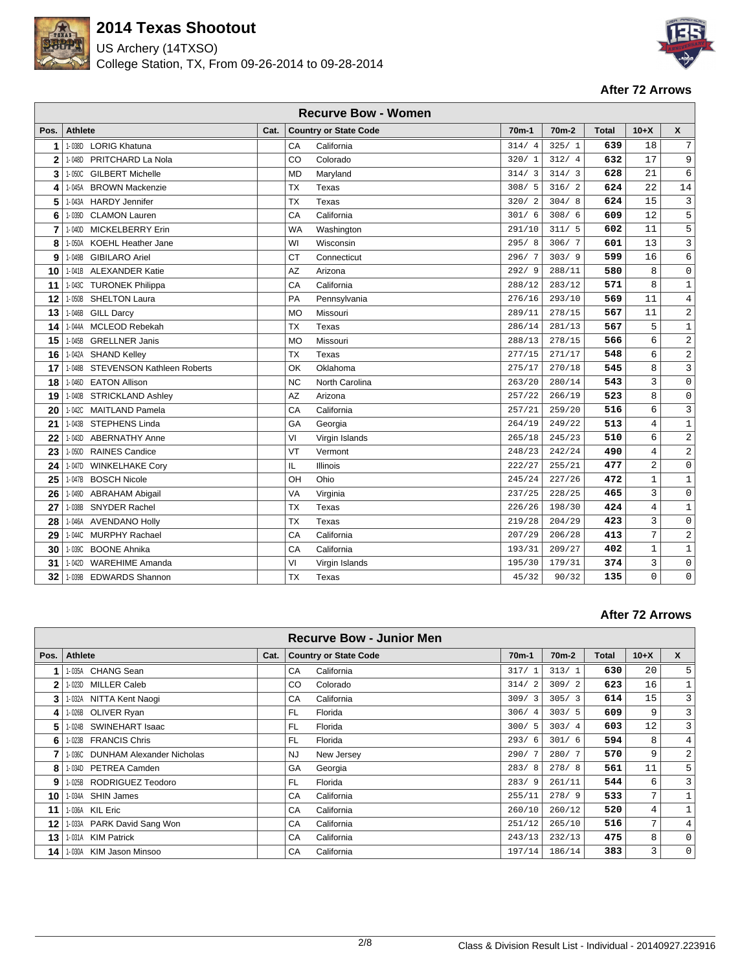

US Archery (14TXSO) College Station, TX, From 09-26-2014 to 09-28-2014



#### **After 72 Arrows**

|              | <b>Recurve Bow - Women</b>                  |      |                              |         |                    |              |                |                     |  |  |  |  |
|--------------|---------------------------------------------|------|------------------------------|---------|--------------------|--------------|----------------|---------------------|--|--|--|--|
| Pos.         | Athlete                                     | Cat. | <b>Country or State Code</b> | $70m-1$ | 70 <sub>m</sub> -2 | <b>Total</b> | $10+X$         | $\boldsymbol{x}$    |  |  |  |  |
| 1            | 1-038D<br><b>LORIG Khatuna</b>              |      | CA<br>California             | 314/4   | 325/1              | 639          | 18             | $\overline{7}$      |  |  |  |  |
| $\mathbf{2}$ | PRITCHARD La Nola<br>1-048D                 |      | CO<br>Colorado               | 320/1   | 312/4              | 632          | 17             | 9                   |  |  |  |  |
| 3            | <b>GILBERT Michelle</b><br>$1 - 050C$       |      | <b>MD</b><br>Maryland        | 314/3   | 314/3              | 628          | 21             | 6                   |  |  |  |  |
| 4            | <b>BROWN Mackenzie</b><br>1-045A            |      | TX<br>Texas                  | 308/5   | 316/2              | 624          | 22             | 14                  |  |  |  |  |
| 5            | <b>HARDY Jennifer</b><br>1-043A             |      | <b>TX</b><br>Texas           | 320/2   | 304/8              | 624          | 15             | 3                   |  |  |  |  |
| 6            | <b>CLAMON Lauren</b><br>1-039D              |      | CA<br>California             | 301/6   | 308/6              | 609          | 12             | 5                   |  |  |  |  |
| 7            | 1-040D<br><b>MICKELBERRY Erin</b>           |      | <b>WA</b><br>Washington      | 291/10  | 311/5              | 602          | 11             | 5                   |  |  |  |  |
| 8            | 1-050A<br><b>KOEHL Heather Jane</b>         |      | WI<br>Wisconsin              | 295/8   | 306/7              | 601          | 13             | $\mathbf{3}$        |  |  |  |  |
| 9            | 1-049B<br><b>GIBILARO Ariel</b>             |      | <b>CT</b><br>Connecticut     | 296/7   | 303/9              | 599          | 16             | 6                   |  |  |  |  |
| 10           | 1-041B ALEXANDER Katie                      |      | Arizona<br>AZ                | 292/9   | 288/11             | 580          | 8              | $\mathsf{O}\xspace$ |  |  |  |  |
| 11           | 1-043C<br><b>TURONEK Philippa</b>           |      | California<br>CA             | 288/12  | 283/12             | 571          | 8              | $\mathbf{1}$        |  |  |  |  |
| 12           | <b>SHELTON Laura</b><br>1-050B              |      | PA<br>Pennsylvania           | 276/16  | 293/10             | 569          | 11             | $\overline{4}$      |  |  |  |  |
| 13           | 1-046B<br><b>GILL Darcy</b>                 |      | <b>MO</b><br>Missouri        | 289/11  | 278/15             | 567          | 11             | 2                   |  |  |  |  |
| 14           | <b>MCLEOD Rebekah</b><br>1-044A             |      | <b>TX</b><br>Texas           | 286/14  | 281/13             | 567          | 5              | $\mathbf{1}$        |  |  |  |  |
| 15           | <b>GRELLNER Janis</b><br>1-045B             |      | <b>MO</b><br>Missouri        | 288/13  | 278/15             | 566          | 6              | 2                   |  |  |  |  |
| 16           | <b>SHAND Kelley</b><br>1-042A               |      | <b>TX</b><br><b>Texas</b>    | 277/15  | 271/17             | 548          | 6              | 2                   |  |  |  |  |
| 17           | <b>STEVENSON Kathleen Roberts</b><br>1-048B |      | OK<br>Oklahoma               | 275/17  | 270/18             | 545          | 8              | 3                   |  |  |  |  |
| 18           | <b>EATON Allison</b><br>1-046D              |      | <b>NC</b><br>North Carolina  | 263/20  | 280/14             | 543          | 3              | 0                   |  |  |  |  |
| 19           | 1-040B STRICKLAND Ashley                    |      | AZ<br>Arizona                | 257/22  | 266/19             | 523          | 8              | $\mathsf{O}\xspace$ |  |  |  |  |
| 20           | 1-042C MAITLAND Pamela                      |      | California<br>СA             | 257/21  | 259/20             | 516          | 6              | $\mathbf{3}$        |  |  |  |  |
| 21           | 1-043B STEPHENS Linda                       |      | GA<br>Georgia                | 264/19  | 249/22             | 513          | $\,4$          | $\mathbf 1$         |  |  |  |  |
| 22           | <b>ABERNATHY Anne</b><br>1-043D             |      | VI<br>Virgin Islands         | 265/18  | 245/23             | 510          | 6              | 2                   |  |  |  |  |
| 23           | <b>RAINES Candice</b><br>1-050D             |      | VT<br>Vermont                | 248/23  | 242/24             | 490          | $\overline{4}$ | $\overline{a}$      |  |  |  |  |
| 24           | 1-047D<br><b>WINKELHAKE Cory</b>            |      | IL<br>Illinois               | 222/27  | 255/21             | 477          | $\overline{2}$ | 0                   |  |  |  |  |
| 25           | 1-047B<br><b>BOSCH Nicole</b>               |      | OH<br>Ohio                   | 245/24  | 227/26             | 472          | $\mathbf{1}$   | 1                   |  |  |  |  |
| 26           | 1-049D<br><b>ABRAHAM Abigail</b>            |      | VA<br>Virginia               | 237/25  | 228/25             | 465          | 3              | 0                   |  |  |  |  |
| 27           | <b>SNYDER Rachel</b><br>1-038B              |      | <b>TX</b><br>Texas           | 226/26  | 198/30             | 424          | $\overline{4}$ | $\mathbf 1$         |  |  |  |  |
| 28           | 1-046A<br><b>AVENDANO Holly</b>             |      | <b>TX</b><br>Texas           | 219/28  | 204/29             | 423          | 3              | $\mathsf{O}\xspace$ |  |  |  |  |
| 29           | <b>MURPHY Rachael</b><br>1-044C             |      | CA<br>California             | 207/29  | 206/28             | 413          | 7              | 2                   |  |  |  |  |
| 30           | 1-039C BOONE Ahnika                         |      | CA<br>California             | 193/31  | 209/27             | 402          | $\mathbf{1}$   | $\mathbf 1$         |  |  |  |  |
| 31           | <b>WAREHIME Amanda</b><br>$1 - 042D$        |      | VI<br>Virgin Islands         | 195/30  | 179/31             | 374          | 3              | $\mathbf 0$         |  |  |  |  |
| 32           | 1-039B EDWARDS Shannon                      |      | <b>TX</b><br>Texas           | 45/32   | 90/32              | 135          | 0              | $\mathbf 0$         |  |  |  |  |

|              |                                  |      |           | <b>Recurve Bow - Junior Men</b> |         |         |       |        |             |
|--------------|----------------------------------|------|-----------|---------------------------------|---------|---------|-------|--------|-------------|
| Pos.         | <b>Athlete</b>                   | Cat. |           | <b>Country or State Code</b>    | $70m-1$ | $70m-2$ | Total | $10+X$ | X           |
|              | CHANG Sean<br>1-035A             |      | CA        | California                      | 317/1   | 313/1   | 630   | 20     | 5           |
| $\mathbf{2}$ | 1-023D MILLER Caleb              |      | CO.       | Colorado                        | 314/2   | 309/2   | 623   | 16     | $1\,$       |
| 3            | 1-032A NITTA Kent Naogi          |      | CA        | California                      | 309/3   | 305/3   | 614   | 15     | 3           |
| 4            | 1-026B OLIVER Ryan               |      | FL.       | Florida                         | 306/4   | 303/5   | 609   | 9      | 3           |
| 5            | 1-024B SWINEHART Isaac           |      | <b>FL</b> | Florida                         | 300/5   | 303/4   | 603   | 12     | 3           |
| 6            | 1-023B FRANCIS Chris             |      | FL.       | Florida                         | 293/6   | 301/6   | 594   | 8      | 4           |
|              | 1-036C DUNHAM Alexander Nicholas |      | <b>NJ</b> | New Jersey                      | 290/7   | 280/7   | 570   | 9      | 2           |
| 8            | 1-034D PETREA Camden             |      | GA        | Georgia                         | 283/8   | 278/8   | 561   | 11     | 5           |
| 9            | 1-025B RODRIGUEZ Teodoro         |      | FL.       | Florida                         | 283/9   | 261/11  | 544   | 6      | 3           |
| 10           | 1-034A SHIN James                |      | CA        | California                      | 255/11  | 278/9   | 533   | 7      |             |
| 11           | 1-036A KIL Eric                  |      | CA        | California                      | 260/10  | 260/12  | 520   | 4      | 1           |
| 12           | 1-033A PARK David Sang Won       |      | CA        | California                      | 251/12  | 265/10  | 516   | 7      | 4           |
| 13           | 1-031A KIM Patrick               |      | CA        | California                      | 243/13  | 232/13  | 475   | 8      | 0           |
| 14           | 1-030A KIM Jason Minsoo          |      | CA        | California                      | 197/14  | 186/14  | 383   | 3      | $\mathbf 0$ |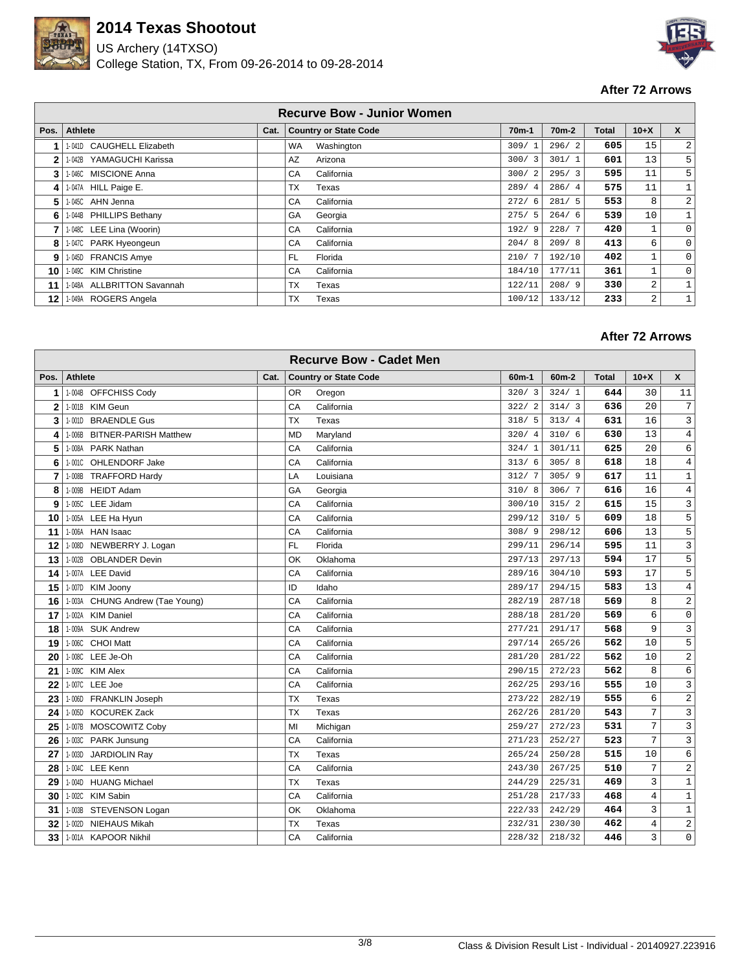

US Archery (14TXSO) College Station, TX, From 09-26-2014 to 09-28-2014



### **After 72 Arrows**

|              |                             |      |           | <b>Recurve Bow - Junior Women</b> |         |                    |       |        |              |
|--------------|-----------------------------|------|-----------|-----------------------------------|---------|--------------------|-------|--------|--------------|
| Pos.         | Athlete                     | Cat. |           | <b>Country or State Code</b>      | $70m-1$ | 70 <sub>m</sub> -2 | Total | $10+X$ | X            |
| 1            | 1-041D CAUGHELL Elizabeth   |      | <b>WA</b> | Washington                        | 309/1   | 296/2              | 605   | 15     | 2            |
| $\mathbf{2}$ | YAMAGUCHI Karissa<br>1-042B |      | AZ        | Arizona                           | 300/3   | 301/1              | 601   | 13     | 5            |
| 3            | 1-046C MISCIONE Anna        |      | CA        | California                        | 300/2   | 295/3              | 595   | 11     | 5            |
| 4            | 1-047A HILL Paige E.        |      | TX        | Texas                             | 289/4   | 286/4              | 575   | 11     | 1            |
| 5            | I-045C AHN Jenna            |      | CA        | California                        | 272/6   | 281/5              | 553   | 8      | 2            |
| 6            | 1-044B PHILLIPS Bethany     |      | GA        | Georgia                           | 275/5   | 264/6              | 539   | 10     | $\mathbf 1$  |
| 7            | 1-048C LEE Lina (Woorin)    |      | CA        | California                        | 192/9   | 228/7              | 420   |        | $\mathbf 0$  |
| 8            | 1-047C PARK Hyeongeun       |      | CA        | California                        | 204/8   | 209/8              | 413   | 6      | $\mathbf 0$  |
| 9            | 1-045D FRANCIS Amye         |      | FL        | Florida                           | 210/7   | 192/10             | 402   | 1      | 0            |
| 10           | 1-049C KIM Christine        |      | CA        | California                        | 184/10  | 177/11             | 361   | 1      | $\mathbf 0$  |
| 11           | 1-048A ALLBRITTON Savannah  |      | TX        | Texas                             | 122/11  | 208/9              | 330   | 2      | $\mathbf{1}$ |
| 12           | 1-049A ROGERS Angela        |      | TX        | Texas                             | 100/12  | 133/12             | 233   | 2      | $\mathbf 1$  |

|              |                                   |      | <b>Recurve Bow - Cadet Men</b> |                    |         |              |                |                |
|--------------|-----------------------------------|------|--------------------------------|--------------------|---------|--------------|----------------|----------------|
| Pos.         | <b>Athlete</b>                    | Cat. | <b>Country or State Code</b>   | 60 <sub>m</sub> -1 | $60m-2$ | <b>Total</b> | $10+X$         | X              |
| 1            | 1-004B OFFCHISS Cody              |      | 0R<br>Oregon                   | 320/3              | 324/1   | 644          | 30             | 11             |
| $\mathbf{2}$ | 1-001B KIM Geun                   |      | California<br>CA               | 322/2              | 314/3   | 636          | 20             | 7              |
| 3            | <b>BRAENDLE Gus</b><br>$1 - 001D$ |      | <b>TX</b><br>Texas             | 318/5              | 313/4   | 631          | 16             | $\mathbf{3}$   |
| 4            | 1-006B BITNER-PARISH Matthew      |      | <b>MD</b><br>Maryland          | 320/4              | 310/6   | 630          | 13             | 4              |
| 5            | 1-008A PARK Nathan                |      | CA<br>California               | 324/1              | 301/11  | 625          | 20             | 6              |
| 6            | 1-001C OHLENDORF Jake             |      | CA<br>California               | 313/6              | 305/8   | 618          | 18             | 4              |
| 7            | 1-008B TRAFFORD Hardy             |      | LA<br>Louisiana                | 312/7              | 305/9   | 617          | 11             | $\mathbf{1}$   |
| 8            | 1-009B HEIDT Adam                 |      | GA<br>Georgia                  | 310/8              | 306/7   | 616          | 16             | 4              |
| g            | 1-005C LEE Jidam                  |      | CA<br>California               | 300/10             | 315/2   | 615          | 15             | 3              |
| 10           | 1-005A LEE Ha Hyun                |      | CA<br>California               | 299/12             | 310/5   | 609          | 18             | 5              |
| 11           | 1-006A HAN Isaac                  |      | California<br>CA               | 308/9              | 298/12  | 606          | 13             | 5              |
| 12           | NEWBERRY J. Logan<br>$1 - 008D$   |      | <b>FL</b><br>Florida           | 299/11             | 296/14  | 595          | 11             | 3              |
| 13           | <b>OBLANDER Devin</b><br>1-002B   |      | OK<br>Oklahoma                 | 297/13             | 297/13  | 594          | 17             | 5              |
| 14           | 1-007A LEE David                  |      | CA<br>California               | 289/16             | 304/10  | 593          | 17             | 5              |
| 15           | <b>KIM Joony</b><br>1-007D        |      | ID<br>Idaho                    | 289/17             | 294/15  | 583          | 13             | $\overline{4}$ |
| 16           | 1-003A CHUNG Andrew (Tae Young)   |      | CA<br>California               | 282/19             | 287/18  | 569          | 8              | 2              |
| 17           | 1-002A KIM Daniel                 |      | CA<br>California               | 288/18             | 281/20  | 569          | 6              | $\mathsf 0$    |
| 18           | 1-009A SUK Andrew                 |      | CA<br>California               | 277/21             | 291/17  | 568          | 9              | 3              |
| 19           | 1-006C CHOI Matt                  |      | CA<br>California               | 297/14             | 265/26  | 562          | 10             | 5              |
| 20           | 1-008C LEE Je-Oh                  |      | CA<br>California               | 281/20             | 281/22  | 562          | 10             | $\overline{a}$ |
| 21           | 1-009C KIM Alex                   |      | California<br>CA               | 290/15             | 272/23  | 562          | 8              | 6              |
| 22           | 1-007C LEE Joe                    |      | CA<br>California               | 262/25             | 293/16  | 555          | 10             | 3              |
| 23           | 1-006D FRANKLIN Joseph            |      | <b>TX</b><br>Texas             | 273/22             | 282/19  | 555          | 6              | 2              |
| 24           | 1-005D KOCUREK Zack               |      | <b>TX</b><br>Texas             | 262/26             | 281/20  | 543          | 7              | $\mathbf{3}$   |
| 25           | 1-007B MOSCOWITZ Coby             |      | MI<br>Michigan                 | 259/27             | 272/23  | 531          | 7              | 3              |
| 26           | 1-003C PARK Junsung               |      | CA<br>California               | 271/23             | 252/27  | 523          | 7              | 3              |
| 27           | JARDIOLIN Ray<br>1-003D           |      | <b>TX</b><br>Texas             | 265/24             | 250/28  | 515          | 10             | 6              |
| 28           | 1-004C LEE Kenn                   |      | California<br>CA               | 243/30             | 267/25  | 510          | 7              | $\overline{a}$ |
| 29           | 1-004D HUANG Michael              |      | <b>TX</b><br>Texas             | 244/29             | 225/31  | 469          | 3              | $\,1$          |
| 30           | 1-002C KIM Sabin                  |      | CA<br>California               | 251/28             | 217/33  | 468          | $\overline{4}$ | $\mathbf{1}$   |
| 31           | 1-003B STEVENSON Logan            |      | OK<br>Oklahoma                 | 222/33             | 242/29  | 464          | 3              | $\mathbf{1}$   |
| 32           | <b>NIEHAUS Mikah</b><br>1-002D    |      | <b>TX</b><br>Texas             | 232/31             | 230/30  | 462          | $\overline{4}$ | 2              |
| 33           | 1-001A KAPOOR Nikhil              |      | CA<br>California               | 228/32             | 218/32  | 446          | 3              | 0              |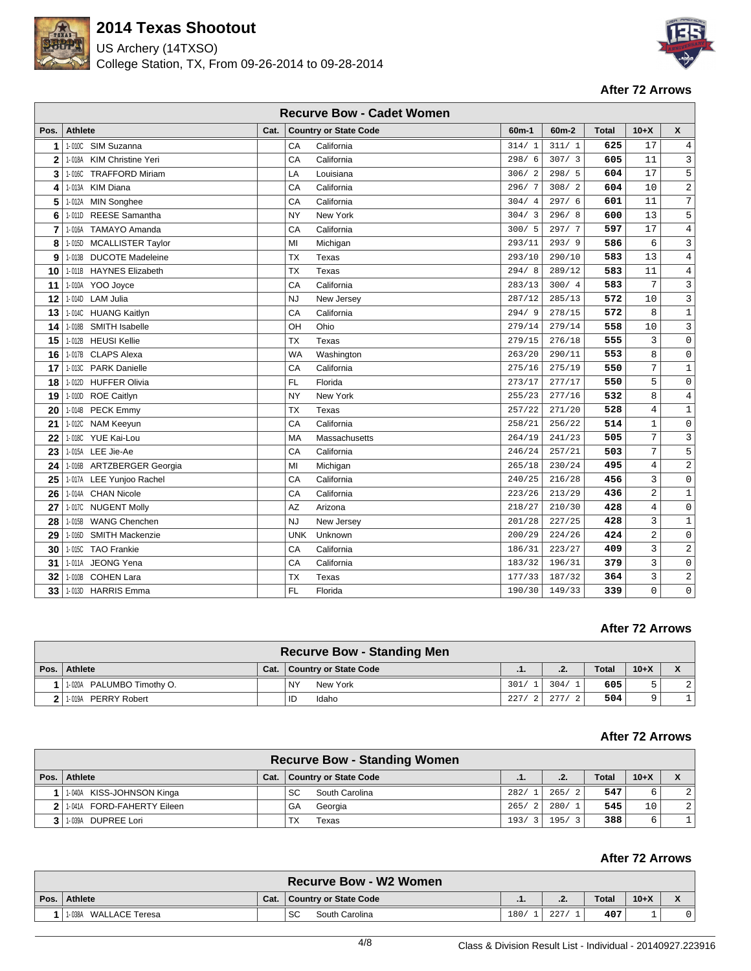

US Archery (14TXSO) College Station, TX, From 09-26-2014 to 09-28-2014



#### **After 72 Arrows**

|                |                                     |      |            | <b>Recurve Bow - Cadet Women</b> |         |         |              |                |                     |
|----------------|-------------------------------------|------|------------|----------------------------------|---------|---------|--------------|----------------|---------------------|
| Pos.           | <b>Athlete</b>                      | Cat. |            | <b>Country or State Code</b>     | $60m-1$ | $60m-2$ | <b>Total</b> | $10+X$         | X                   |
| 1              | 1-010C SIM Suzanna                  |      | CA         | California                       | 314/1   | 311/1   | 625          | 17             | 4                   |
| $\mathbf 2$    | 1-018A KIM Christine Yeri           |      | CA         | California                       | 298/6   | 307/3   | 605          | 11             | $\mathbf{3}$        |
| 3              | <b>TRAFFORD Miriam</b><br>1-016C    |      | LA         | Louisiana                        | 306/2   | 298/5   | 604          | 17             | 5                   |
| 4              | <b>KIM Diana</b><br>1-013A          |      | CA         | California                       | 296/7   | 308/2   | 604          | 10             | $\overline{c}$      |
| 5              | 1-012A<br><b>MIN Songhee</b>        |      | CA         | California                       | 304/4   | 297/6   | 601          | 11             | $\overline{7}$      |
| 6              | <b>REESE Samantha</b><br>$1 - 011D$ |      | <b>NY</b>  | New York                         | 304/3   | 296/8   | 600          | 13             | 5                   |
| $\overline{7}$ | 1-016A<br><b>TAMAYO Amanda</b>      |      | CA         | California                       | 300/5   | 297/7   | 597          | 17             | $\overline{4}$      |
| 8              | 1-015D MCALLISTER Taylor            |      | MI         | Michigan                         | 293/11  | 293/9   | 586          | 6              | 3                   |
| 9              | 1-013B DUCOTE Madeleine             |      | <b>TX</b>  | Texas                            | 293/10  | 290/10  | 583          | 13             | $\overline{4}$      |
| 10             | 1-011B HAYNES Elizabeth             |      | <b>TX</b>  | Texas                            | 294/8   | 289/12  | 583          | 11             | $\overline{4}$      |
| 11             | 1-010A<br>YOO Joyce                 |      | CA         | California                       | 283/13  | 300/4   | 583          | $\overline{7}$ | 3                   |
| 12             | 1-014D LAM Julia                    |      | <b>NJ</b>  | New Jersey                       | 287/12  | 285/13  | 572          | 10             | $\mathbf{3}$        |
| 13             | 1-014C HUANG Kaitlyn                |      | CA         | California                       | 294/9   | 278/15  | 572          | 8              | $\mathbf{1}$        |
| 14             | SMITH Isabelle<br>1-018B            |      | OH         | Ohio                             | 279/14  | 279/14  | 558          | 10             | 3                   |
| 15             | <b>HEUSI Kellie</b><br>1-012B       |      | ТX         | Texas                            | 279/15  | 276/18  | 555          | 3              | 0                   |
| 16             | 1-017B CLAPS Alexa                  |      | <b>WA</b>  | Washington                       | 263/20  | 290/11  | 553          | 8              | $\mathbf 0$         |
| 17             | 1-013C PARK Danielle                |      | CA         | California                       | 275/16  | 275/19  | 550          | 7              | $\mathbf{1}$        |
| 18             | 1-012D HUFFER Olivia                |      | <b>FL</b>  | Florida                          | 273/17  | 277/17  | 550          | 5              | $\mathsf 0$         |
| 19             | 1-010D ROE Caitlyn                  |      | <b>NY</b>  | New York                         | 255/23  | 277/16  | 532          | 8              | $\overline{4}$      |
| 20             | 1-014B PECK Emmy                    |      | ТX         | Texas                            | 257/22  | 271/20  | 528          | $\overline{4}$ | $\mathbf{1}$        |
| 21             | 1-012C NAM Keeyun                   |      | CA         | California                       | 258/21  | 256/22  | 514          | $\mathbf{1}$   | $\mathsf 0$         |
| 22             | 1-018C<br><b>YUE Kai-Lou</b>        |      | MA         | Massachusetts                    | 264/19  | 241/23  | 505          | 7              | 3                   |
| 23             | 1-015A LEE Jie-Ae                   |      | CA         | California                       | 246/24  | 257/21  | 503          | 7              | 5                   |
| 24             | 1-016B ARTZBERGER Georgia           |      | MI         | Michigan                         | 265/18  | 230/24  | 495          | $\overline{4}$ | 2                   |
| 25             | 1-017A LEE Yunjoo Rachel            |      | CA         | California                       | 240/25  | 216/28  | 456          | 3              | $\mathsf{O}$        |
| 26             | 1-014A CHAN Nicole                  |      | CA         | California                       | 223/26  | 213/29  | 436          | $\overline{2}$ | $\mathbf{1}$        |
| 27             | 1-017C NUGENT Molly                 |      | AZ         | Arizona                          | 218/27  | 210/30  | 428          | $\overline{4}$ | $\mathsf{O}\xspace$ |
| 28             | <b>WANG Chenchen</b><br>1-015B      |      | <b>NJ</b>  | New Jersey                       | 201/28  | 227/25  | 428          | $\overline{3}$ | $\mathbf 1$         |
| 29             | <b>SMITH Mackenzie</b><br>1-016D    |      | <b>UNK</b> | Unknown                          | 200/29  | 224/26  | 424          | $\sqrt{2}$     | 0                   |
| 30             | 1-015C TAO Frankie                  |      | CA         | California                       | 186/31  | 223/27  | 409          | $\overline{3}$ | $\overline{c}$      |
| 31             | 1-011A JEONG Yena                   |      | CA         | California                       | 183/32  | 196/31  | 379          | 3              | 0                   |
| 32             | 1-010B COHEN Lara                   |      | TX         | Texas                            | 177/33  | 187/32  | 364          | 3              | 2                   |
| 33             | 1-013D HARRIS Emma                  |      | <b>FL</b>  | Florida                          | 190/30  | 149/33  | 339          | $\mathbf 0$    | 0                   |

### **After 72 Arrows**

| <b>Recurve Bow - Standing Men</b> |      |                              |      |      |              |        |                                       |  |  |  |
|-----------------------------------|------|------------------------------|------|------|--------------|--------|---------------------------------------|--|--|--|
| Pos. Athlete                      | Cat. | <b>Country or State Code</b> | .    | .2.  | <b>Total</b> | $10+X$ | $\overline{\phantom{a}}$<br>$\lambda$ |  |  |  |
| 1-020A PALUMBO Timothy O.         |      | NY<br>New York               | 301/ | 304/ | 605          |        |                                       |  |  |  |
| 211.019A<br><b>PERRY Robert</b>   |      | Idaho<br>ID                  | 227/ | 277/ | 504          | a      |                                       |  |  |  |

#### **After 72 Arrows**

|                              |      | <b>Recurve Bow - Standing Women</b> |                       |                        |              |        |                |
|------------------------------|------|-------------------------------------|-----------------------|------------------------|--------------|--------|----------------|
| Pos. Athlete                 | Cat. | <b>Country or State Code</b>        | - 1.                  | .2.                    | <b>Total</b> | $10+X$ | X              |
| 1-040A KISS-JOHNSON Kinga    |      | SC<br>South Carolina                | 282/                  | 265/<br>$\overline{2}$ | 547          |        | 2 <sup>1</sup> |
| 1-041A FORD-FAHERTY Eileen   |      | GA<br>Georgia                       | 265/                  | $280/1$ .              | 545          | 10     | 2 <sup>1</sup> |
| <b>DUPREE Lori</b><br>1-039A |      | TX<br>Texas                         | 193/<br>$\mathcal{R}$ | 195/<br>$\mathbf{R}$   | 388          | б      |                |

|                          |      | <b>Recurve Bow - W2 Women</b> |      |     |              |        |  |
|--------------------------|------|-------------------------------|------|-----|--------------|--------|--|
| Pos. Athlete             | Cat. | Country or State Code         | .    | . . | <b>Total</b> | $10+X$ |  |
| WALLACE Teresa<br>1-038A |      | SC<br>South Carolina          | 180/ | 227 | 407          |        |  |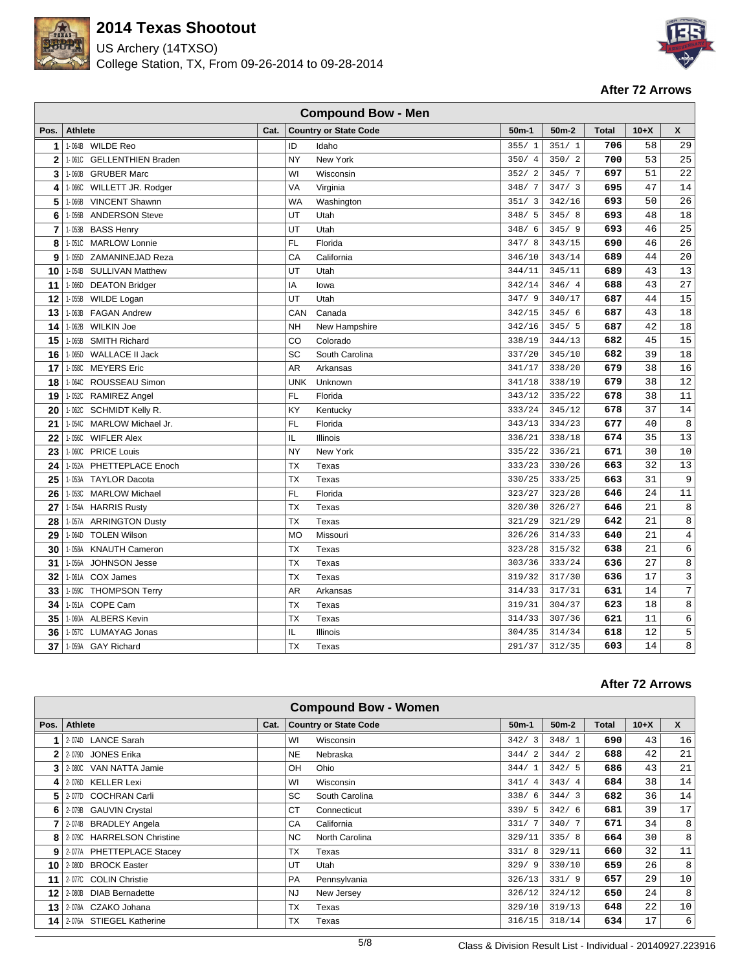

US Archery (14TXSO) College Station, TX, From 09-26-2014 to 09-28-2014



#### **After 72 Arrows**

|             | <b>Compound Bow - Men</b>               |      |            |                              |         |         |              |        |    |  |  |  |
|-------------|-----------------------------------------|------|------------|------------------------------|---------|---------|--------------|--------|----|--|--|--|
| Pos.        | <b>Athlete</b>                          | Cat. |            | <b>Country or State Code</b> | $50m-1$ | $50m-2$ | <b>Total</b> | $10+X$ | X  |  |  |  |
| 1           | 1-064B WILDE Reo                        |      | ID         | Idaho                        | 355/1   | 351/1   | 706          | 58     | 29 |  |  |  |
| $\mathbf 2$ | <b>GELLENTHIEN Braden</b><br>$1 - 061C$ |      | NY         | New York                     | 350/4   | 350/2   | 700          | 53     | 25 |  |  |  |
| 3           | <b>GRUBER Marc</b><br>1-060B            |      | WI         | Wisconsin                    | 352/2   | 345/7   | 697          | 51     | 22 |  |  |  |
| 4           | $1 - 066C$<br>WILLETT JR. Rodger        |      | VA         | Virginia                     | 348/7   | 347/3   | 695          | 47     | 14 |  |  |  |
| 5           | 1-066B<br><b>VINCENT Shawnn</b>         |      | <b>WA</b>  | Washington                   | 351/3   | 342/16  | 693          | 50     | 26 |  |  |  |
| 6           | <b>ANDERSON Steve</b><br>1-056B         |      | UT         | Utah                         | 348/5   | 345/8   | 693          | 48     | 18 |  |  |  |
| 7           | 1-053B<br><b>BASS Henry</b>             |      | UT         | Utah                         | 348/6   | 345/9   | 693          | 46     | 25 |  |  |  |
| 8           | <b>MARLOW Lonnie</b><br>$1 - 051C$      |      | <b>FL</b>  | Florida                      | 347/8   | 343/15  | 690          | 46     | 26 |  |  |  |
| 9           | 1-055D<br>ZAMANINEJAD Reza              |      | CA         | California                   | 346/10  | 343/14  | 689          | 44     | 20 |  |  |  |
| 10          | <b>SULLIVAN Matthew</b><br>1-054B       |      | UT         | Utah                         | 344/11  | 345/11  | 689          | 43     | 13 |  |  |  |
| 11          | 1-066D<br><b>DEATON Bridger</b>         |      | IA         | lowa                         | 342/14  | 346/4   | 688          | 43     | 27 |  |  |  |
| 12          | 1-055B<br><b>WILDE Logan</b>            |      | UT         | Utah                         | 347/9   | 340/17  | 687          | 44     | 15 |  |  |  |
| 13          | <b>FAGAN Andrew</b><br>1-063B           |      | CAN        | Canada                       | 342/15  | 345/6   | 687          | 43     | 18 |  |  |  |
| 14          | <b>WILKIN Joe</b><br>1-062B             |      | <b>NH</b>  | New Hampshire                | 342/16  | 345/5   | 687          | 42     | 18 |  |  |  |
| 15          | <b>SMITH Richard</b><br>1-065B          |      | CO         | Colorado                     | 338/19  | 344/13  | 682          | 45     | 15 |  |  |  |
| 16          | $1 - 065D$<br><b>WALLACE II Jack</b>    |      | SC         | South Carolina               | 337/20  | 345/10  | 682          | 39     | 18 |  |  |  |
| 17          | 1-058C<br><b>MEYERS</b> Eric            |      | AR         | Arkansas                     | 341/17  | 338/20  | 679          | 38     | 16 |  |  |  |
| 18          | ROUSSEAU Simon<br>1-064C                |      | <b>UNK</b> | Unknown                      | 341/18  | 338/19  | 679          | 38     | 12 |  |  |  |
| 19          | RAMIREZ Angel<br>1-052C                 |      | <b>FL</b>  | Florida                      | 343/12  | 335/22  | 678          | 38     | 11 |  |  |  |
| 20          | SCHMIDT Kelly R.<br>1-062C              |      | KY         | Kentucky                     | 333/24  | 345/12  | 678          | 37     | 14 |  |  |  |
| 21          | MARLOW Michael Jr.<br>1-054C            |      | FL         | Florida                      | 343/13  | 334/23  | 677          | 40     | 8  |  |  |  |
| 22          | <b>WIFLER Alex</b><br>$1 - 056C$        |      | IL         | <b>Illinois</b>              | 336/21  | 338/18  | 674          | 35     | 13 |  |  |  |
| 23          | $1 - 060C$<br><b>PRICE Louis</b>        |      | NY         | New York                     | 335/22  | 336/21  | 671          | 30     | 10 |  |  |  |
| 24          | PHETTEPLACE Enoch<br>1-052A             |      | <b>TX</b>  | Texas                        | 333/23  | 330/26  | 663          | 32     | 13 |  |  |  |
| 25          | 1-053A<br><b>TAYLOR Dacota</b>          |      | <b>TX</b>  | Texas                        | 330/25  | 333/25  | 663          | 31     | 9  |  |  |  |
| 26          | 1-053C<br><b>MARLOW Michael</b>         |      | FL         | Florida                      | 323/27  | 323/28  | 646          | 24     | 11 |  |  |  |
| 27          | 1-054A<br><b>HARRIS Rusty</b>           |      | <b>TX</b>  | Texas                        | 320/30  | 326/27  | 646          | 21     | 8  |  |  |  |
| 28          | 1-057A<br><b>ARRINGTON Dusty</b>        |      | <b>TX</b>  | Texas                        | 321/29  | 321/29  | 642          | 21     | 8  |  |  |  |
| 29          | <b>TOLEN Wilson</b><br>1-064D           |      | <b>MO</b>  | Missouri                     | 326/26  | 314/33  | 640          | 21     | 4  |  |  |  |
| 30          | 1-058A<br><b>KNAUTH Cameron</b>         |      | <b>TX</b>  | <b>Texas</b>                 | 323/28  | 315/32  | 638          | 21     | б  |  |  |  |
| 31          | <b>JOHNSON Jesse</b><br>1-056A          |      | <b>TX</b>  | Texas                        | 303/36  | 333/24  | 636          | 27     | 8  |  |  |  |
| 32          | COX James<br>1-061A                     |      | <b>TX</b>  | Texas                        | 319/32  | 317/30  | 636          | 17     | 3  |  |  |  |
| 33          | 1-059C<br><b>THOMPSON Terry</b>         |      | <b>AR</b>  | Arkansas                     | 314/33  | 317/31  | 631          | 14     | 7  |  |  |  |
| 34          | COPE Cam<br>1-051A                      |      | <b>TX</b>  | Texas                        | 319/31  | 304/37  | 623          | 18     | 8  |  |  |  |
| 35          | <b>ALBERS Kevin</b><br>1-060A           |      | <b>TX</b>  | <b>Texas</b>                 | 314/33  | 307/36  | 621          | 11     | 6  |  |  |  |
| 36          | <b>LUMAYAG Jonas</b><br>1-057C          |      | IL         | Illinois                     | 304/35  | 314/34  | 618          | 12     | 5  |  |  |  |
| 37          | 1-059A GAY Richard                      |      | TX         | Texas                        | 291/37  | 312/35  | 603          | 14     | 8  |  |  |  |

|      |                            |      | <b>Compound Bow - Women</b>  |                        |         |       |        |    |
|------|----------------------------|------|------------------------------|------------------------|---------|-------|--------|----|
| Pos. | <b>Athlete</b>             | Cat. | <b>Country or State Code</b> | $50m-1$                | $50m-2$ | Total | $10+X$ | X  |
|      | 2-074D LANCE Sarah         |      | WI<br>Wisconsin              | 342/3                  | 348/1   | 690   | 43     | 16 |
| 2    | 2-079D JONES Erika         |      | NE.<br>Nebraska              | 344/2                  | 344/2   | 688   | 42     | 21 |
| 3    | 2-080C VAN NATTA Jamie     |      | OH<br>Ohio                   | 344/1                  | 342/5   | 686   | 43     | 21 |
| 4    | 2-076D KELLER Lexi         |      | WI<br>Wisconsin              | 341/<br>$\overline{4}$ | 343/4   | 684   | 38     | 14 |
| 5.   | 2-077D COCHRAN Carli       |      | <b>SC</b><br>South Carolina  | 338/6                  | 344/3   | 682   | 36     | 14 |
| 6    | 2-079B GAUVIN Crystal      |      | <b>CT</b><br>Connecticut     | 339/5                  | 342/6   | 681   | 39     | 17 |
|      | 2-074B BRADLEY Angela      |      | CA<br>California             | 331/7                  | 340/7   | 671   | 34     | 8  |
| 8    | 2-079C HARRELSON Christine |      | <b>NC</b><br>North Carolina  | 329/11                 | 335/8   | 664   | 30     | 8  |
| 9    | 2-077A PHETTEPLACE Stacey  |      | <b>TX</b><br>Texas           | 331/8                  | 329/11  | 660   | 32     | 11 |
| 10   | 2-080D BROCK Easter        |      | UT<br>Utah                   | 329/9                  | 330/10  | 659   | 26     | 8  |
| 11   | 2-077C COLIN Christie      |      | <b>PA</b><br>Pennsylvania    | 326/13                 | 331/9   | 657   | 29     | 10 |
| 12   | 2-080B DIAB Bernadette     |      | <b>NJ</b><br>New Jersey      | 326/12                 | 324/12  | 650   | 24     | 8  |
| 13   | 2-078A CZAKO Johana        |      | <b>TX</b><br>Texas           | 329/10                 | 319/13  | 648   | 22     | 10 |
| 14   | 2-076A STIEGEL Katherine   |      | <b>TX</b><br>Texas           | 316/15                 | 318/14  | 634   | 17     | 6  |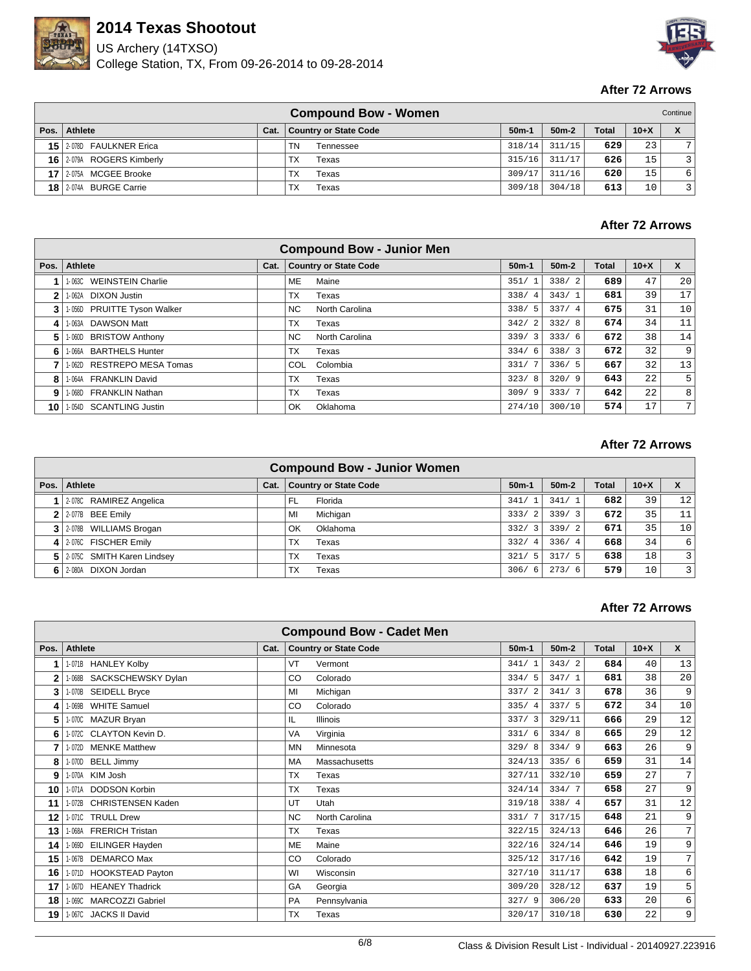

US Archery (14TXSO) College Station, TX, From 09-26-2014 to 09-28-2014



#### **After 72 Arrows**

|                 |                           |      | <b>Compound Bow - Women</b>  |         |         |              |        | Continue       |
|-----------------|---------------------------|------|------------------------------|---------|---------|--------------|--------|----------------|
|                 | Pos.   Athlete            | Cat. | <b>Country or State Code</b> | $50m-1$ | $50m-2$ | <b>Total</b> | $10+X$ | X              |
|                 | 15 2-078D FAULKNER Erica  |      | ΤN<br>Tennessee              | 318/14  | 311/15  | 629          | 23     |                |
|                 | 16 2-079A ROGERS Kimberly |      | ТX<br>Texas                  | 315/16  | 311/17  | 626          | 15     | 3 <sup>1</sup> |
| 17 <sub>1</sub> | 12-075A MCGEE Brooke      |      | TX<br>Texas                  | 309/17  | 311/16  | 620          | 15     | 6              |
|                 | 18 2-074A BURGE Carrie    |      | ТX<br>Texas                  | 309/18  | 304/18  | 613          | 10     | 3 I            |

## **After 72 Arrows**

|      | <b>Compound Bow - Junior Men</b>   |      |           |                              |             |         |       |        |                |  |  |  |
|------|------------------------------------|------|-----------|------------------------------|-------------|---------|-------|--------|----------------|--|--|--|
| Pos. | <b>Athlete</b>                     | Cat. |           | <b>Country or State Code</b> | $50m-1$     | $50m-2$ | Total | $10+X$ | X              |  |  |  |
|      | <b>WEINSTEIN Charlie</b><br>1-063C |      | ME        | Maine                        | 351/        | 338/2   | 689   | 47     | 20             |  |  |  |
| 2    | DIXON Justin<br>1-062A             |      | TX        | Texas                        | 338/<br>4   | 343/1   | 681   | 39     | 17             |  |  |  |
| 3    | 1-056D PRUITTE Tyson Walker        |      | NC.       | North Carolina               | 338/<br>- 5 | 337/4   | 675   | 31     | 10             |  |  |  |
| 4    | <b>DAWSON Matt</b><br>1-063A       |      | ТX        | Texas                        | 342/<br>-2  | 332/8   | 674   | 34     | 11             |  |  |  |
| 5    | <b>BRISTOW Anthony</b><br>1-060D   |      | NC.       | North Carolina               | 339/3       | 333/6   | 672   | 38     | 14             |  |  |  |
| 6    | <b>BARTHELS Hunter</b><br>1-066A   |      | ТX        | Texas                        | 334/<br>-6  | 338/3   | 672   | 32     | 9              |  |  |  |
|      | 1-062D RESTREPO MESA Tomas         |      | COL.      | Colombia                     | 331/        | 336/5   | 667   | 32     | 13             |  |  |  |
| 8    | 1-064A FRANKLIN David              |      | ТX        | Texas                        | 323/8       | 320/9   | 643   | 22     | 5              |  |  |  |
| 9    | 1-068D FRANKLIN Nathan             |      | <b>TX</b> | Texas                        | 309/9       | 333/7   | 642   | 22     | 8              |  |  |  |
| 10   | 1-054D SCANTLING Justin            |      | OK        | Oklahoma                     | 274/10      | 300/10  | 574   | 17     | 7 <sub>1</sub> |  |  |  |

#### **After 72 Arrows**

| <b>Compound Bow - Junior Women</b> |      |                              |             |         |              |        |                |  |  |
|------------------------------------|------|------------------------------|-------------|---------|--------------|--------|----------------|--|--|
| Pos. Athlete                       | Cat. | <b>Country or State Code</b> | $50m-1$     | $50m-2$ | <b>Total</b> | $10+X$ | X              |  |  |
| 2-078C RAMIREZ Angelica            |      | Florida<br>FL                | 341/        | 341/1   | 682          | 39     | 12             |  |  |
| $2$ 2-077B BEE Emily               |      | Michigan<br>MI               | 333/2       | 339/3   | 672          | 35     | 11             |  |  |
| 3 2-078B WILLIAMS Brogan           |      | OK<br>Oklahoma               | 332/3       | 339/2   | 671          | 35     | 10             |  |  |
| 4 2-076C FISCHER Emily             |      | <b>TX</b><br>Texas           | 332/<br>-4  | 336/4   | 668          | 34     | 6              |  |  |
| 5 2-0750 SMITH Karen Lindsey       |      | ТX<br>Texas                  | 321/<br>-5  | 317/5   | 638          | 18     | $\overline{3}$ |  |  |
| 6 2-080A DIXON Jordan              |      | TX<br>Texas                  | 306/<br>- 6 | 273/6   | 579          | 10     | $\overline{3}$ |  |  |

|              | <b>Compound Bow - Cadet Men</b>    |      |               |                              |           |         |              |        |                |  |  |  |  |
|--------------|------------------------------------|------|---------------|------------------------------|-----------|---------|--------------|--------|----------------|--|--|--|--|
| Pos.         | <b>Athlete</b>                     | Cat. |               | <b>Country or State Code</b> | $50m-1$   | $50m-2$ | <b>Total</b> | $10+X$ | $\mathsf{x}$   |  |  |  |  |
|              | 1-071B HANLEY Kolby                |      | VT            | Vermont                      | 341/1     | 343/2   | 684          | 40     | 13             |  |  |  |  |
| $\mathbf{2}$ | 1-068B SACKSCHEWSKY Dylan          |      | CO            | Colorado                     | 334/5     | 347/1   | 681          | 38     | 20             |  |  |  |  |
| 3            | 1-070B SEIDELL Bryce               |      | MI            | Michigan                     | 337/2     | 341/3   | 678          | 36     | 9              |  |  |  |  |
| 4            | <b>WHITE Samuel</b><br>1-069B      |      | CO            | Colorado                     | 335/4     | 337/5   | 672          | 34     | 10             |  |  |  |  |
| 5            | 1-070C MAZUR Bryan                 |      | IL.           | <b>Illinois</b>              | 337/3     | 329/11  | 666          | 29     | 12             |  |  |  |  |
| 6            | 1-072C CLAYTON Kevin D.            |      | <b>VA</b>     | Virginia                     | 331/<br>6 | 334/8   | 665          | 29     | 12             |  |  |  |  |
| 7            | 1-072D MENKE Matthew               |      | <b>MN</b>     | Minnesota                    | 329/8     | 334/9   | 663          | 26     | 9              |  |  |  |  |
| 8            | <b>BELL Jimmy</b><br>1-070D        |      | MA            | Massachusetts                | 324/13    | 335/6   | 659          | 31     | 14             |  |  |  |  |
| 9            | 1-070A KIM Josh                    |      | <b>TX</b>     | Texas                        | 327/11    | 332/10  | 659          | 27     | 7              |  |  |  |  |
| 10           | 1-071A DODSON Korbin               |      | <b>TX</b>     | Texas                        | 324/14    | 334/7   | 658          | 27     | 9              |  |  |  |  |
| 11           | <b>CHRISTENSEN Kaden</b><br>1-072B |      | UT            | Utah                         | 319/18    | 338/4   | 657          | 31     | 12             |  |  |  |  |
| 12           | 1-071C TRULL Drew                  |      | <b>NC</b>     | North Carolina               | 331/7     | 317/15  | 648          | 21     | 9              |  |  |  |  |
| 13           | 1-068A FRERICH Tristan             |      | <b>TX</b>     | Texas                        | 322/15    | 324/13  | 646          | 26     | $\overline{7}$ |  |  |  |  |
| 14           | 1-069D EILINGER Hayden             |      | <b>ME</b>     | Maine                        | 322/16    | 324/14  | 646          | 19     | 9              |  |  |  |  |
| 15           | <b>DEMARCO Max</b><br>1-067B       |      | <sub>CO</sub> | Colorado                     | 325/12    | 317/16  | 642          | 19     | 7              |  |  |  |  |
| 16           | 1-071D HOOKSTEAD Payton            |      | WI            | Wisconsin                    | 327/10    | 311/17  | 638          | 18     | 6              |  |  |  |  |
| 17           | 1-067D HEANEY Thadrick             |      | GA            | Georgia                      | 309/20    | 328/12  | 637          | 19     | 5              |  |  |  |  |
| 18           | 1-069C MARCOZZI Gabriel            |      | <b>PA</b>     | Pennsylvania                 | 327/9     | 306/20  | 633          | 20     | 6              |  |  |  |  |
| 19           | 1-067C JACKS II David              |      | <b>TX</b>     | Texas                        | 320/17    | 310/18  | 630          | 22     | 9              |  |  |  |  |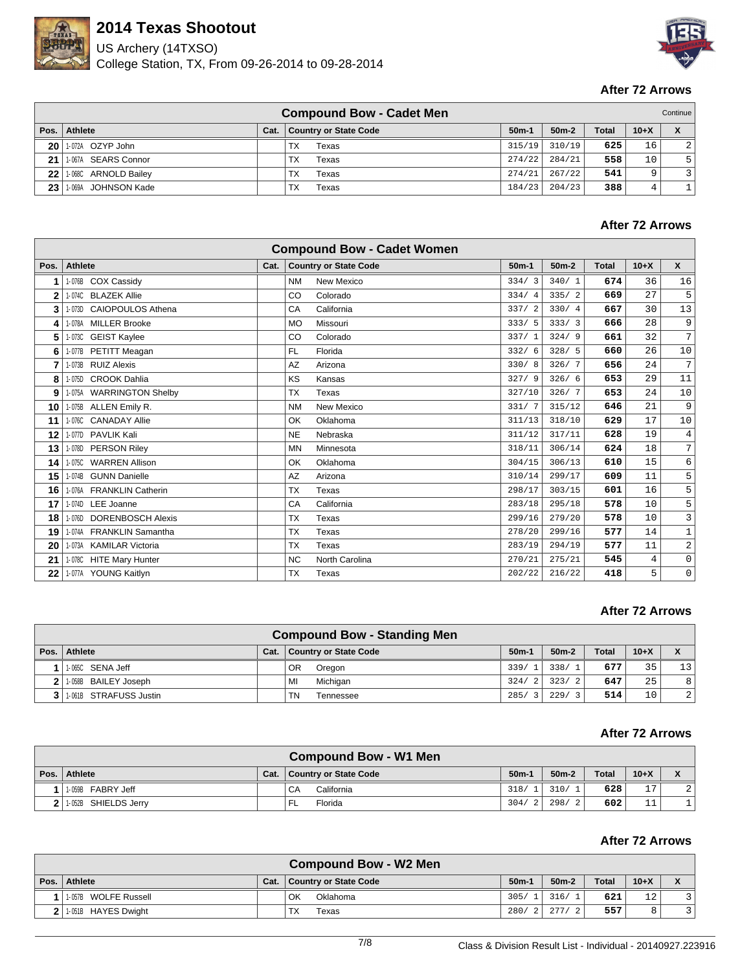

US Archery (14TXSO) College Station, TX, From 09-26-2014 to 09-28-2014



### **After 72 Arrows**

|      |                        |      | <b>Compound Bow - Cadet Men</b> |         |         |              |        | Continue       |
|------|------------------------|------|---------------------------------|---------|---------|--------------|--------|----------------|
|      | Pos.   Athlete         | Cat. | <b>Country or State Code</b>    | $50m-1$ | $50m-2$ | <b>Total</b> | $10+X$ | X              |
| ا 20 | 1-072A OZYP John       |      | <b>TX</b><br>Texas              | 315/19  | 310/19  | 625          | 16     | 2 <sup>1</sup> |
| 21   | 1-067A SEARS Connor    |      | TX<br>Texas                     | 274/22  | 284/21  | 558          | 10     | 5              |
| ا 22 | 1-068C ARNOLD Bailey   |      | ТX<br>Texas                     | 274/21  | 267/22  | 541          | Q      | 3 <sup>1</sup> |
| 23   | 1-069A<br>JOHNSON Kade |      | ТX<br>Texas                     | 184/23  | 204/23  | 388          |        |                |

### **After 72 Arrows**

|              |                                    |      | <b>Compound Bow - Cadet Women</b> |         |         |              |        |                 |
|--------------|------------------------------------|------|-----------------------------------|---------|---------|--------------|--------|-----------------|
| Pos.         | <b>Athlete</b>                     | Cat. | <b>Country or State Code</b>      | $50m-1$ | $50m-2$ | <b>Total</b> | $10+X$ | X               |
| 1            | 1-076B COX Cassidy                 |      | <b>New Mexico</b><br><b>NM</b>    | 334/3   | 340/1   | 674          | 36     | 16              |
| $\mathbf{2}$ | <b>BLAZEK Allie</b><br>1-074C      |      | Colorado<br>CO                    | 334/4   | 335/2   | 669          | 27     | 5               |
| 3            | <b>CAIOPOULOS Athena</b><br>1-073D |      | CA<br>California                  | 337/2   | 330/4   | 667          | 30     | 13              |
| 4            | <b>MILLER Brooke</b><br>1-078A     |      | Missouri<br><b>MO</b>             | 333/5   | 333/3   | 666          | 28     | 9               |
| 5            | <b>GEIST Kaylee</b><br>1-073C      |      | CO<br>Colorado                    | 337/1   | 324/9   | 661          | 32     | $7\overline{ }$ |
| 6            | PETITT Meagan<br>1-077B            |      | <b>FL</b><br>Florida              | 332/6   | 328/5   | 660          | 26     | 10              |
| 7            | <b>RUIZ Alexis</b><br>1-073B       |      | AZ<br>Arizona                     | 330/8   | 326/7   | 656          | 24     | 7               |
| 8            | <b>CROOK Dahlia</b><br>1-075D      |      | KS<br>Kansas                      | 327/9   | 326/6   | 653          | 29     | 11              |
| 9            | 1-075A WARRINGTON Shelby           |      | <b>TX</b><br>Texas                | 327/10  | 326/7   | 653          | 24     | $10$            |
| 10           | ALLEN Emily R.<br>1-075B           |      | <b>New Mexico</b><br><b>NM</b>    | 331/7   | 315/12  | 646          | 21     | 9               |
| 11           | 1-076C CANADAY Allie               |      | OK<br>Oklahoma                    | 311/13  | 318/10  | 629          | 17     | $10$            |
| 12           | 1-077D PAVLIK Kali                 |      | <b>NE</b><br>Nebraska             | 311/12  | 317/11  | 628          | 19     | $\,4$           |
| 13           | 1-078D PERSON Riley                |      | <b>MN</b><br>Minnesota            | 318/11  | 306/14  | 624          | 18     | 7               |
| 14           | <b>WARREN Allison</b><br>1-075C    |      | OK<br>Oklahoma                    | 304/15  | 306/13  | 610          | 15     | 6               |
| 15           | <b>GUNN Danielle</b><br>1-074B     |      | AZ<br>Arizona                     | 310/14  | 299/17  | 609          | 11     | 5               |
| 16           | 1-076A FRANKLIN Catherin           |      | <b>TX</b><br>Texas                | 298/17  | 303/15  | 601          | 16     | 5               |
| 17           | 1-074D LEE Joanne                  |      | CA<br>California                  | 283/18  | 295/18  | 578          | 10     | 5               |
| 18           | <b>DORENBOSCH Alexis</b><br>1-076D |      | <b>TX</b><br>Texas                | 299/16  | 279/20  | 578          | 10     | 3               |
| 19           | 1-074A FRANKLIN Samantha           |      | <b>TX</b><br>Texas                | 278/20  | 299/16  | 577          | 14     | $\mathbf 1$     |
| 20           | 1-073A KAMILAR Victoria            |      | <b>TX</b><br>Texas                | 283/19  | 294/19  | 577          | 11     | $\sqrt{2}$      |
| 21           | 1-078C HITE Mary Hunter            |      | <b>NC</b><br>North Carolina       | 270/21  | 275/21  | 545          | 4      | $\mathsf 0$     |
| 22           | 1-077A YOUNG Kaitlyn               |      | <b>TX</b><br>Texas                | 202/22  | 216/22  | 418          | 5      | $\mathsf 0$     |

### **After 72 Arrows**

|                |                        |      | <b>Compound Bow - Standing Men</b> |                  |                        |              |        |                 |
|----------------|------------------------|------|------------------------------------|------------------|------------------------|--------------|--------|-----------------|
|                | Pos.   Athlete         | Cat. | <b>Country or State Code</b>       | $50m-1$          | $50m-2$                | <b>Total</b> | $10+X$ |                 |
|                | 1-065C SENA Jeff       |      | OR.<br>Oregon                      | 339/1            | 338/<br>$\overline{1}$ | 677          | 35     | 13 <sup>1</sup> |
|                | 1-058B BAILEY Joseph   |      | Michigan<br>MI                     | 324/             | 323/<br>$\overline{2}$ | 647          | 25     | 8 <sup>1</sup>  |
| 3 <sup>1</sup> | 1-061B STRAFUSS Justin |      | TN.<br>Tennessee                   | 285/<br>$\sim$ 3 | 229/<br>$\mathcal{R}$  | 514          | 10     | 2               |

#### **After 72 Arrows**

|                      |      | <b>Compound Bow - W1 Men</b> |         |                      |              |          |  |
|----------------------|------|------------------------------|---------|----------------------|--------------|----------|--|
| Pos. Athlete         | Cat. | <b>Country or State Code</b> | $50m-1$ | $50m-2$              | <b>Total</b> | $10+X$   |  |
| FABRY Jeff<br>1-059B |      | California<br>CA             | 318/    | 310/<br><sup>1</sup> | 628          | 17       |  |
| 1-052B SHIELDS Jerry |      | Florida<br>'FL               | 304/    | 298/<br>2            | 602          | 11<br>ᆂᆂ |  |

|                           |      | <b>Compound Bow - W2 Men</b> |             |         |              |        |  |
|---------------------------|------|------------------------------|-------------|---------|--------------|--------|--|
| Pos. Athlete              | Cat. | <b>Country or State Code</b> | $50m-1$     | $50m-2$ | <b>Total</b> | $10+X$ |  |
| 1-057B WOLFE Russell      |      | OK<br>Oklahoma               | 305/1       | 316/1   | 621          | 12     |  |
| $2$   1-051B HAYES Dwight |      | ТX<br>Texas                  | 280/<br>2.1 | 277/    | 557          |        |  |